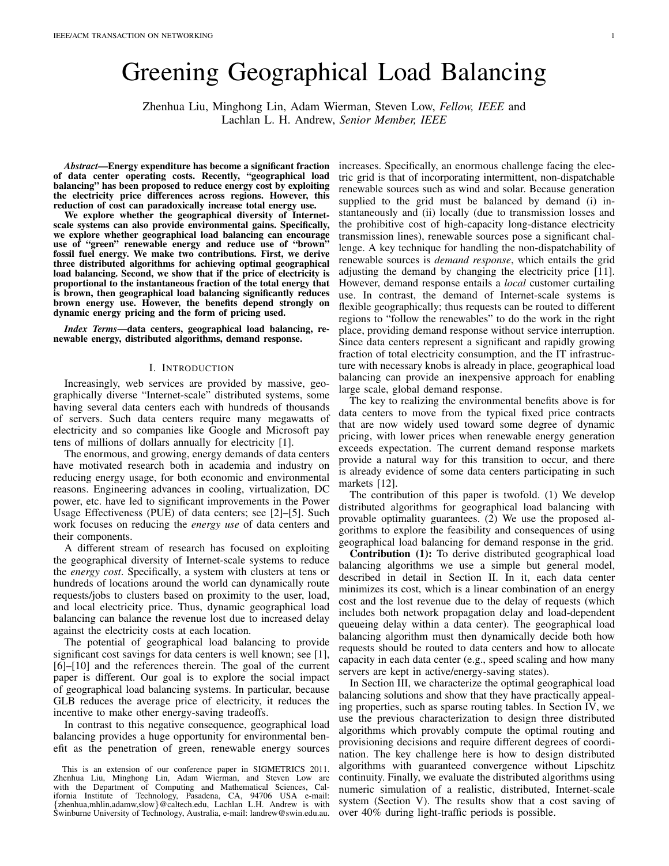# Greening Geographical Load Balancing

Zhenhua Liu, Minghong Lin, Adam Wierman, Steven Low, *Fellow, IEEE* and Lachlan L. H. Andrew, *Senior Member, IEEE*

*Abstract*—Energy expenditure has become a significant fraction of data center operating costs. Recently, "geographical load balancing" has been proposed to reduce energy cost by exploiting the electricity price differences across regions. However, this reduction of cost can paradoxically increase total energy use.

We explore whether the geographical diversity of Internetscale systems can also provide environmental gains. Specifically, we explore whether geographical load balancing can encourage use of "green" renewable energy and reduce use of "brown" fossil fuel energy. We make two contributions. First, we derive three distributed algorithms for achieving optimal geographical load balancing. Second, we show that if the price of electricity is proportional to the instantaneous fraction of the total energy that is brown, then geographical load balancing significantly reduces brown energy use. However, the benefits depend strongly on dynamic energy pricing and the form of pricing used.

*Index Terms*—data centers, geographical load balancing, renewable energy, distributed algorithms, demand response.

#### I. INTRODUCTION

Increasingly, web services are provided by massive, geographically diverse "Internet-scale" distributed systems, some having several data centers each with hundreds of thousands of servers. Such data centers require many megawatts of electricity and so companies like Google and Microsoft pay tens of millions of dollars annually for electricity [1].

The enormous, and growing, energy demands of data centers have motivated research both in academia and industry on reducing energy usage, for both economic and environmental reasons. Engineering advances in cooling, virtualization, DC power, etc. have led to significant improvements in the Power Usage Effectiveness (PUE) of data centers; see [2]–[5]. Such work focuses on reducing the *energy use* of data centers and their components.

A different stream of research has focused on exploiting the geographical diversity of Internet-scale systems to reduce the *energy cost*. Specifically, a system with clusters at tens or hundreds of locations around the world can dynamically route requests/jobs to clusters based on proximity to the user, load, and local electricity price. Thus, dynamic geographical load balancing can balance the revenue lost due to increased delay against the electricity costs at each location.

The potential of geographical load balancing to provide significant cost savings for data centers is well known; see [1], [6]–[10] and the references therein. The goal of the current paper is different. Our goal is to explore the social impact of geographical load balancing systems. In particular, because GLB reduces the average price of electricity, it reduces the incentive to make other energy-saving tradeoffs.

In contrast to this negative consequence, geographical load balancing provides a huge opportunity for environmental benefit as the penetration of green, renewable energy sources

increases. Specifically, an enormous challenge facing the electric grid is that of incorporating intermittent, non-dispatchable renewable sources such as wind and solar. Because generation supplied to the grid must be balanced by demand (i) instantaneously and (ii) locally (due to transmission losses and the prohibitive cost of high-capacity long-distance electricity transmission lines), renewable sources pose a significant challenge. A key technique for handling the non-dispatchability of renewable sources is *demand response*, which entails the grid adjusting the demand by changing the electricity price [11]. However, demand response entails a *local* customer curtailing use. In contrast, the demand of Internet-scale systems is flexible geographically; thus requests can be routed to different regions to "follow the renewables" to do the work in the right place, providing demand response without service interruption. Since data centers represent a significant and rapidly growing fraction of total electricity consumption, and the IT infrastructure with necessary knobs is already in place, geographical load balancing can provide an inexpensive approach for enabling large scale, global demand response.

The key to realizing the environmental benefits above is for data centers to move from the typical fixed price contracts that are now widely used toward some degree of dynamic pricing, with lower prices when renewable energy generation exceeds expectation. The current demand response markets provide a natural way for this transition to occur, and there is already evidence of some data centers participating in such markets [12].

The contribution of this paper is twofold. (1) We develop distributed algorithms for geographical load balancing with provable optimality guarantees. (2) We use the proposed algorithms to explore the feasibility and consequences of using geographical load balancing for demand response in the grid.

Contribution (1): To derive distributed geographical load balancing algorithms we use a simple but general model, described in detail in Section II. In it, each data center minimizes its cost, which is a linear combination of an energy cost and the lost revenue due to the delay of requests (which includes both network propagation delay and load-dependent queueing delay within a data center). The geographical load balancing algorithm must then dynamically decide both how requests should be routed to data centers and how to allocate capacity in each data center (e.g., speed scaling and how many servers are kept in active/energy-saving states).

In Section III, we characterize the optimal geographical load balancing solutions and show that they have practically appealing properties, such as sparse routing tables. In Section IV, we use the previous characterization to design three distributed algorithms which provably compute the optimal routing and provisioning decisions and require different degrees of coordination. The key challenge here is how to design distributed algorithms with guaranteed convergence without Lipschitz continuity. Finally, we evaluate the distributed algorithms using numeric simulation of a realistic, distributed, Internet-scale system (Section V). The results show that a cost saving of over 40% during light-traffic periods is possible.

This is an extension of our conference paper in SIGMETRICS 2011. Zhenhua Liu, Minghong Lin, Adam Wierman, and Steven Low are with the Department of Computing and Mathematical Sciences, California Institute of Technology, Pasadena, CA, 94706 USA e-mail: {zhenhua,mhlin,adamw,slow}@caltech.edu, Lachlan L.H. Andrew is with Swinburne University of Technology, Australia, e-mail: landrew@swin.edu.au.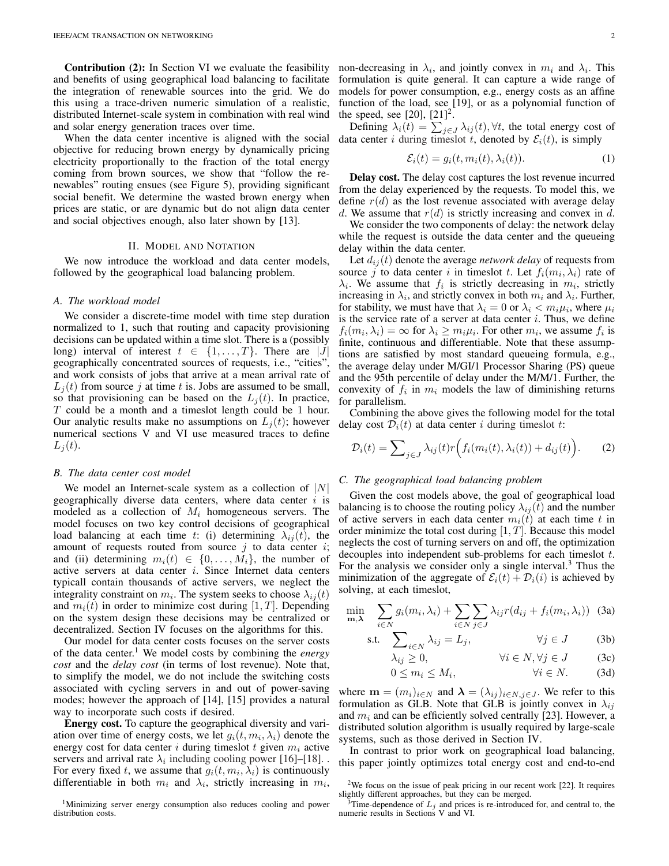Contribution (2): In Section VI we evaluate the feasibility and benefits of using geographical load balancing to facilitate the integration of renewable sources into the grid. We do this using a trace-driven numeric simulation of a realistic, distributed Internet-scale system in combination with real wind and solar energy generation traces over time.

When the data center incentive is aligned with the social objective for reducing brown energy by dynamically pricing electricity proportionally to the fraction of the total energy coming from brown sources, we show that "follow the renewables" routing ensues (see Figure 5), providing significant social benefit. We determine the wasted brown energy when prices are static, or are dynamic but do not align data center and social objectives enough, also later shown by [13].

# II. MODEL AND NOTATION

We now introduce the workload and data center models, followed by the geographical load balancing problem.

# *A. The workload model*

We consider a discrete-time model with time step duration normalized to 1, such that routing and capacity provisioning decisions can be updated within a time slot. There is a (possibly long) interval of interest  $t \in \{1, ..., T\}$ . There are |J| geographically concentrated sources of requests, i.e., "cities", and work consists of jobs that arrive at a mean arrival rate of  $L_i(t)$  from source j at time t is. Jobs are assumed to be small, so that provisioning can be based on the  $L_i(t)$ . In practice, T could be a month and a timeslot length could be 1 hour. Our analytic results make no assumptions on  $L_i(t)$ ; however numerical sections V and VI use measured traces to define  $L_i(t)$ .

#### *B. The data center cost model*

We model an Internet-scale system as a collection of  $|N|$ geographically diverse data centers, where data center  $i$  is modeled as a collection of  $M_i$  homogeneous servers. The model focuses on two key control decisions of geographical load balancing at each time t: (i) determining  $\lambda_{ij}(t)$ , the amount of requests routed from source  $j$  to data center  $i$ ; and (ii) determining  $m_i(t) \in \{0, \ldots, M_i\}$ , the number of active servers at data center i. Since Internet data centers typicall contain thousands of active servers, we neglect the integrality constraint on  $m_i$ . The system seeks to choose  $\lambda_{ij}(t)$ and  $m_i(t)$  in order to minimize cost during [1, T]. Depending on the system design these decisions may be centralized or decentralized. Section IV focuses on the algorithms for this.

Our model for data center costs focuses on the server costs of the data center.<sup>1</sup> We model costs by combining the *energy cost* and the *delay cost* (in terms of lost revenue). Note that, to simplify the model, we do not include the switching costs associated with cycling servers in and out of power-saving modes; however the approach of [14], [15] provides a natural way to incorporate such costs if desired.

Energy cost. To capture the geographical diversity and variation over time of energy costs, we let  $g_i(t, m_i, \lambda_i)$  denote the energy cost for data center i during timeslot t given  $m_i$  active servers and arrival rate  $\lambda_i$  including cooling power [16]–[18]. For every fixed t, we assume that  $g_i(t, m_i, \lambda_i)$  is continuously differentiable in both  $m_i$  and  $\lambda_i$ , strictly increasing in  $m_i$ ,

Defining  $\lambda_i(t) = \sum_{j \in J} \lambda_{ij}(t)$ ,  $\forall t$ , the total energy cost of data center i during timeslot t, denoted by  $\mathcal{E}_i(t)$ , is simply

$$
\mathcal{E}_i(t) = g_i(t, m_i(t), \lambda_i(t)).
$$
\n(1)

Delay cost. The delay cost captures the lost revenue incurred from the delay experienced by the requests. To model this, we define  $r(d)$  as the lost revenue associated with average delay d. We assume that  $r(d)$  is strictly increasing and convex in d.

We consider the two components of delay: the network delay while the request is outside the data center and the queueing delay within the data center.

Let  $d_{ij}(t)$  denote the average *network delay* of requests from source j to data center i in timeslot t. Let  $f_i(m_i, \lambda_i)$  rate of  $\lambda_i$ . We assume that  $f_i$  is strictly decreasing in  $m_i$ , strictly increasing in  $\lambda_i$ , and strictly convex in both  $m_i$  and  $\lambda_i$ . Further, for stability, we must have that  $\lambda_i = 0$  or  $\lambda_i < m_i \mu_i$ , where  $\mu_i$ is the service rate of a server at data center  $i$ . Thus, we define  $f_i(m_i, \lambda_i) = \infty$  for  $\lambda_i \geq m_i \mu_i$ . For other  $m_i$ , we assume  $f_i$  is finite, continuous and differentiable. Note that these assumptions are satisfied by most standard queueing formula, e.g., the average delay under M/GI/1 Processor Sharing (PS) queue and the 95th percentile of delay under the M/M/1. Further, the convexity of  $f_i$  in  $m_i$  models the law of diminishing returns for parallelism.

Combining the above gives the following model for the total delay cost  $\mathcal{D}_i(t)$  at data center i during timeslot t:

$$
\mathcal{D}_i(t) = \sum_{j \in J} \lambda_{ij}(t) r\Big(f_i(m_i(t), \lambda_i(t)) + d_{ij}(t)\Big). \tag{2}
$$

#### *C. The geographical load balancing problem*

Given the cost models above, the goal of geographical load balancing is to choose the routing policy  $\lambda_{ij}(t)$  and the number of active servers in each data center  $m_i(t)$  at each time t in order minimize the total cost during  $[1, T]$ . Because this model neglects the cost of turning servers on and off, the optimization decouples into independent sub-problems for each timeslot t. For the analysis we consider only a single interval.<sup>3</sup> Thus the minimization of the aggregate of  $\mathcal{E}_i(t) + \mathcal{D}_i(i)$  is achieved by solving, at each timeslot,

$$
\min_{\mathbf{m},\lambda} \quad \sum_{i\in N} g_i(m_i,\lambda_i) + \sum_{i\in N} \sum_{j\in J} \lambda_{ij} r(d_{ij} + f_i(m_i,\lambda_i)) \quad (3a)
$$

$$
\text{s.t.} \quad \sum_{i \in N} \lambda_{ij} = L_j, \qquad \qquad \forall j \in J \qquad (3b)
$$

$$
\lambda_{ij} \ge 0, \qquad \forall i \in N, \forall j \in J \qquad (3c)
$$

$$
0 \le m_i \le M_i, \qquad \forall i \in N. \qquad (3d)
$$

where  $\mathbf{m} = (m_i)_{i \in N}$  and  $\boldsymbol{\lambda} = (\lambda_{ij})_{i \in N, j \in J}$ . We refer to this formulation as GLB. Note that GLB is jointly convex in  $\lambda_{ij}$ and  $m_i$  and can be efficiently solved centrally [23]. However, a distributed solution algorithm is usually required by large-scale systems, such as those derived in Section IV.

In contrast to prior work on geographical load balancing, this paper jointly optimizes total energy cost and end-to-end

<sup>1</sup>Minimizing server energy consumption also reduces cooling and power distribution costs.

<sup>&</sup>lt;sup>2</sup>We focus on the issue of peak pricing in our recent work [22]. It requires slightly different approaches, but they can be merged.

<sup>&</sup>lt;sup>3</sup>Time-dependence of  $L_j$  and prices is re-introduced for, and central to, the numeric results in Sections V and VI.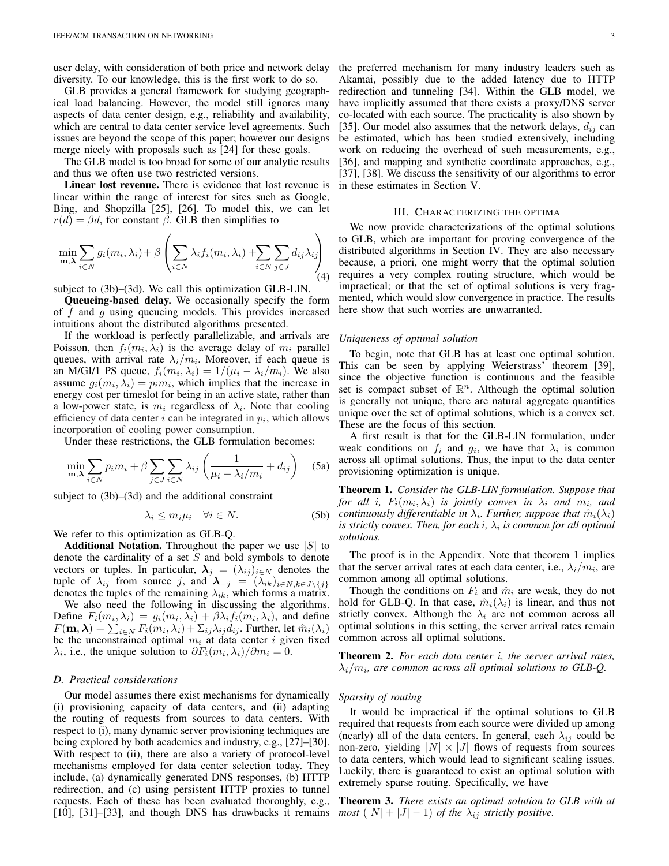user delay, with consideration of both price and network delay diversity. To our knowledge, this is the first work to do so.

GLB provides a general framework for studying geographical load balancing. However, the model still ignores many aspects of data center design, e.g., reliability and availability, which are central to data center service level agreements. Such issues are beyond the scope of this paper; however our designs merge nicely with proposals such as [24] for these goals.

The GLB model is too broad for some of our analytic results and thus we often use two restricted versions.

Linear lost revenue. There is evidence that lost revenue is linear within the range of interest for sites such as Google, Bing, and Shopzilla [25], [26]. To model this, we can let  $r(d) = \beta d$ , for constant  $\beta$ . GLB then simplifies to

$$
\min_{\mathbf{m},\lambda} \sum_{i \in N} g_i(m_i, \lambda_i) + \beta \left( \sum_{i \in N} \lambda_i f_i(m_i, \lambda_i) + \sum_{i \in N} \sum_{j \in J} d_{ij} \lambda_{ij} \right)
$$
\n(4)

subject to (3b)–(3d). We call this optimization GLB-LIN.

Queueing-based delay. We occasionally specify the form of  $f$  and  $g$  using queueing models. This provides increased intuitions about the distributed algorithms presented.

If the workload is perfectly parallelizable, and arrivals are Poisson, then  $f_i(m_i, \lambda_i)$  is the average delay of  $m_i$  parallel queues, with arrival rate  $\lambda_i/m_i$ . Moreover, if each queue is an M/GI/1 PS queue,  $f_i(m_i, \lambda_i) = 1/(\mu_i - \lambda_i/m_i)$ . We also assume  $g_i(m_i, \lambda_i) = p_i m_i$ , which implies that the increase in energy cost per timeslot for being in an active state, rather than a low-power state, is  $m_i$  regardless of  $\lambda_i$ . Note that cooling efficiency of data center  $i$  can be integrated in  $p_i$ , which allows incorporation of cooling power consumption.

Under these restrictions, the GLB formulation becomes:

$$
\min_{\mathbf{m},\mathbf{\lambda}} \sum_{i\in N} p_i m_i + \beta \sum_{j\in J} \sum_{i\in N} \lambda_{ij} \left( \frac{1}{\mu_i - \lambda_i/m_i} + d_{ij} \right) \quad (5a)
$$

subject to (3b)–(3d) and the additional constraint

$$
\lambda_i \le m_i \mu_i \quad \forall i \in N. \tag{5b}
$$

We refer to this optimization as GLB-Q.

**Additional Notation.** Throughout the paper we use  $|S|$  to denote the cardinality of a set  $S$  and bold symbols to denote vectors or tuples. In particular,  $\lambda_j = (\lambda_{ij})_{i \in N}$  denotes the tuple of  $\lambda_{ij}$  from source j, and  $\lambda_{-j} = (\lambda_{ik})_{i \in N, k \in J \setminus \{j\}}$ denotes the tuples of the remaining  $\lambda_{ik}$ , which forms a matrix.

We also need the following in discussing the algorithms. Define  $F_i(m_i, \lambda_i) = g_i(m_i, \lambda_i) + \beta \lambda_i f_i(m_i, \lambda_i)$ , and define  $F(\mathbf{m}, \boldsymbol{\lambda}) = \sum_{i \in N} F_i(m_i, \lambda_i) + \sum_{ij} \lambda_{ij} d_{ij}$ . Further, let  $\hat{m}_i(\lambda_i)$ be the unconstrained optimal  $m_i$  at data center i given fixed  $\lambda_i$ , i.e., the unique solution to  $\partial F_i(m_i, \lambda_i)/\partial m_i = 0$ .

### *D. Practical considerations*

Our model assumes there exist mechanisms for dynamically (i) provisioning capacity of data centers, and (ii) adapting the routing of requests from sources to data centers. With respect to (i), many dynamic server provisioning techniques are being explored by both academics and industry, e.g., [27]–[30]. With respect to (ii), there are also a variety of protocol-level mechanisms employed for data center selection today. They include, (a) dynamically generated DNS responses, (b) HTTP redirection, and (c) using persistent HTTP proxies to tunnel requests. Each of these has been evaluated thoroughly, e.g., [10], [31]–[33], and though DNS has drawbacks it remains

the preferred mechanism for many industry leaders such as Akamai, possibly due to the added latency due to HTTP redirection and tunneling [34]. Within the GLB model, we have implicitly assumed that there exists a proxy/DNS server co-located with each source. The practicality is also shown by [35]. Our model also assumes that the network delays,  $d_{ij}$  can be estimated, which has been studied extensively, including work on reducing the overhead of such measurements, e.g., [36], and mapping and synthetic coordinate approaches, e.g., [37], [38]. We discuss the sensitivity of our algorithms to error in these estimates in Section V.

#### III. CHARACTERIZING THE OPTIMA

We now provide characterizations of the optimal solutions to GLB, which are important for proving convergence of the distributed algorithms in Section IV. They are also necessary because, a priori, one might worry that the optimal solution requires a very complex routing structure, which would be impractical; or that the set of optimal solutions is very fragmented, which would slow convergence in practice. The results here show that such worries are unwarranted.

#### *Uniqueness of optimal solution*

To begin, note that GLB has at least one optimal solution. This can be seen by applying Weierstrass' theorem [39], since the objective function is continuous and the feasible set is compact subset of  $\mathbb{R}^n$ . Although the optimal solution is generally not unique, there are natural aggregate quantities unique over the set of optimal solutions, which is a convex set. These are the focus of this section.

A first result is that for the GLB-LIN formulation, under weak conditions on  $f_i$  and  $g_i$ , we have that  $\lambda_i$  is common across all optimal solutions. Thus, the input to the data center provisioning optimization is unique.

Theorem 1. *Consider the GLB-LIN formulation. Suppose that for all i,*  $F_i(m_i, \lambda_i)$  *is jointly convex in*  $\lambda_i$  *and*  $m_i$ *, and continuously differentiable in*  $\lambda_i$ *. Further, suppose that*  $\hat{m}_i(\lambda_i)$ is strictly convex. Then, for each  $i$ ,  $\lambda_i$  is common for all optimal *solutions.*

The proof is in the Appendix. Note that theorem 1 implies that the server arrival rates at each data center, i.e.,  $\lambda_i/m_i$ , are common among all optimal solutions.

Though the conditions on  $F_i$  and  $\hat{m}_i$  are weak, they do not hold for GLB-Q. In that case,  $\hat{m}_i(\lambda_i)$  is linear, and thus not strictly convex. Although the  $\lambda_i$  are not common across all optimal solutions in this setting, the server arrival rates remain common across all optimal solutions.

Theorem 2. *For each data center* i*, the server arrival rates,*  $\lambda_i/m_i$ , are common across all optimal solutions to GLB-Q.

#### *Sparsity of routing*

It would be impractical if the optimal solutions to GLB required that requests from each source were divided up among (nearly) all of the data centers. In general, each  $\lambda_{ij}$  could be non-zero, yielding  $|N| \times |J|$  flows of requests from sources to data centers, which would lead to significant scaling issues. Luckily, there is guaranteed to exist an optimal solution with extremely sparse routing. Specifically, we have

Theorem 3. *There exists an optimal solution to GLB with at most*  $(|N| + |J| - 1)$  *of the*  $\lambda_{ij}$  *strictly positive.*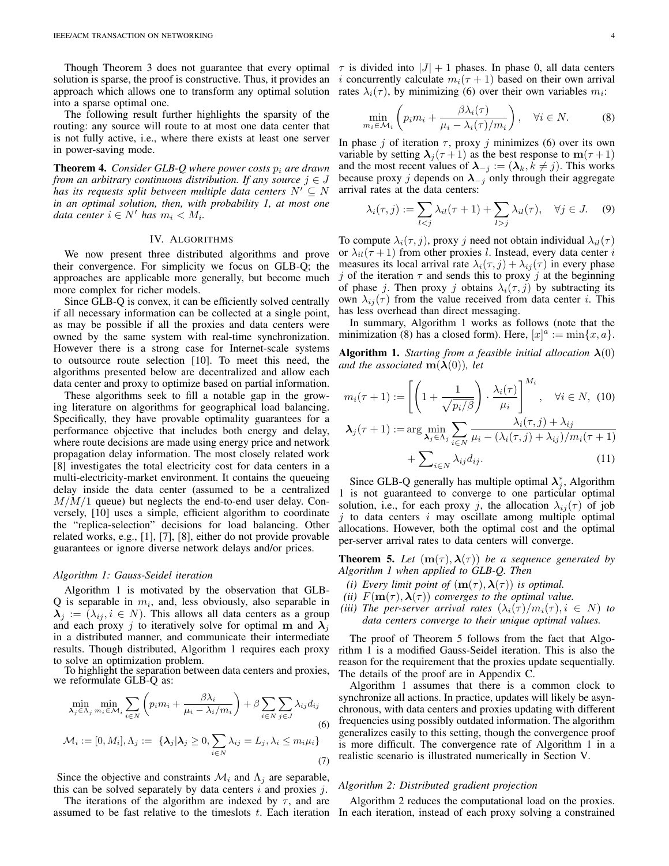Though Theorem 3 does not guarantee that every optimal  $\tau$  is divided into  $|J|+1$  phases. In phase 0, all data centers solution is sparse, the proof is constructive. Thus, it provides an *i* concurrently calculate  $m_i(\tau + 1)$  based on their own arrival approach which allows one to transform any optimal solution rates  $\lambda_i(\tau)$ , by minimizing (6) over their own variables  $m_i$ : into a sparse optimal one.

The following result further highlights the sparsity of the routing: any source will route to at most one data center that is not fully active, i.e., where there exists at least one server in power-saving mode.

**Theorem 4.** *Consider GLB-Q where power costs*  $p_i$  *are drawn from an arbitrary continuous distribution. If any source*  $j \in J$ *has its requests split between multiple data centers*  $N' \subseteq N$ *in an optimal solution, then, with probability 1, at most one data center*  $i \in N'$  *has*  $m_i < M_i$ *.* 

## IV. ALGORITHMS

We now present three distributed algorithms and prove their convergence. For simplicity we focus on GLB-Q; the approaches are applicable more generally, but become much more complex for richer models.

Since GLB-Q is convex, it can be efficiently solved centrally if all necessary information can be collected at a single point, as may be possible if all the proxies and data centers were owned by the same system with real-time synchronization. However there is a strong case for Internet-scale systems to outsource route selection [10]. To meet this need, the algorithms presented below are decentralized and allow each data center and proxy to optimize based on partial information.

These algorithms seek to fill a notable gap in the growing literature on algorithms for geographical load balancing. Specifically, they have provable optimality guarantees for a performance objective that includes both energy and delay, where route decisions are made using energy price and network propagation delay information. The most closely related work [8] investigates the total electricity cost for data centers in a multi-electricity-market environment. It contains the queueing delay inside the data center (assumed to be a centralized  $M/M/1$  queue) but neglects the end-to-end user delay. Conversely, [10] uses a simple, efficient algorithm to coordinate the "replica-selection" decisions for load balancing. Other related works, e.g., [1], [7], [8], either do not provide provable guarantees or ignore diverse network delays and/or prices.

#### *Algorithm 1: Gauss-Seidel iteration*

Algorithm 1 is motivated by the observation that GLB-Q is separable in  $m_i$ , and, less obviously, also separable in  $\lambda_i := (\lambda_{ij}, i \in N)$ . This allows all data centers as a group and each proxy j to iteratively solve for optimal m and  $\lambda_i$ in a distributed manner, and communicate their intermediate results. Though distributed, Algorithm 1 requires each proxy to solve an optimization problem.

To highlight the separation between data centers and proxies, we reformulate GLB-Q as:

$$
\min_{\lambda_j \in \Lambda_j} \min_{m_i \in \mathcal{M}_i} \sum_{i \in N} \left( p_i m_i + \frac{\beta \lambda_i}{\mu_i - \lambda_i / m_i} \right) + \beta \sum_{i \in N} \sum_{j \in J} \lambda_{ij} d_{ij}
$$
\n(6)

$$
\mathcal{M}_i := [0, M_i], \Lambda_j := \{ \lambda_j | \lambda_j \ge 0, \sum_{i \in N} \lambda_{ij} = L_j, \lambda_i \le m_i \mu_i \}
$$
\n
$$
(7)
$$

Since the objective and constraints  $\mathcal{M}_i$  and  $\Lambda_j$  are separable, this can be solved separately by data centers  $i$  and proxies  $j$ .

The iterations of the algorithm are indexed by  $\tau$ , and are

$$
\min_{m_i \in \mathcal{M}_i} \left( p_i m_i + \frac{\beta \lambda_i(\tau)}{\mu_i - \lambda_i(\tau)/m_i} \right), \quad \forall i \in N. \tag{8}
$$

In phase j of iteration  $\tau$ , proxy j minimizes (6) over its own variable by setting  $\lambda_i(\tau+1)$  as the best response to  $m(\tau+1)$ and the most recent values of  $\lambda_{-j} := (\lambda_k, k \neq j)$ . This works because proxy j depends on  $\lambda_{-i}$  only through their aggregate arrival rates at the data centers:

$$
\lambda_i(\tau, j) := \sum_{l < j} \lambda_{il}(\tau + 1) + \sum_{l > j} \lambda_{il}(\tau), \quad \forall j \in J. \tag{9}
$$

To compute  $\lambda_i(\tau, j)$ , proxy j need not obtain individual  $\lambda_{il}(\tau)$ or  $\lambda_{il}(\tau+1)$  from other proxies l. Instead, every data center i measures its local arrival rate  $\lambda_i(\tau, j) + \lambda_{ij}(\tau)$  in every phase j of the iteration  $\tau$  and sends this to proxy j at the beginning of phase j. Then proxy j obtains  $\lambda_i(\tau, j)$  by subtracting its own  $\lambda_{ij}(\tau)$  from the value received from data center *i*. This has less overhead than direct messaging.

In summary, Algorithm 1 works as follows (note that the minimization (8) has a closed form). Here,  $[x]^a := \min\{x, a\}.$ 

**Algorithm 1.** *Starting from a feasible initial allocation*  $\lambda(0)$ *and the associated*  $m(\lambda(0))$ *, let* 

$$
m_i(\tau + 1) := \left[ \left( 1 + \frac{1}{\sqrt{p_i/\beta}} \right) \cdot \frac{\lambda_i(\tau)}{\mu_i} \right]^{M_i}, \quad \forall i \in N, \ (10)
$$

$$
\lambda_j(\tau+1) := \arg \min_{\lambda_j \in \Lambda_j} \sum_{i \in N} \frac{\lambda_i(\tau, j) + \lambda_{ij}}{\mu_i - (\lambda_i(\tau, j) + \lambda_{ij})/m_i(\tau+1)} + \sum_{i \in N} \lambda_{ij} d_{ij}.
$$
\n(11)

Since GLB-Q generally has multiple optimal  $\lambda_j^*$ , Algorithm 1 is not guaranteed to converge to one particular optimal solution, i.e., for each proxy j, the allocation  $\lambda_{ij}(\tau)$  of job  $j$  to data centers  $i$  may oscillate among multiple optimal allocations. However, both the optimal cost and the optimal per-server arrival rates to data centers will converge.

**Theorem 5.** Let  $(m(\tau), \lambda(\tau))$  be a sequence generated by *Algorithm 1 when applied to GLB-Q. Then*

- *(i) Every limit point of*  $(m(\tau), \lambda(\tau))$  *is optimal.*
- *(ii)*  $F(\mathbf{m}(\tau), \boldsymbol{\lambda}(\tau))$  *converges to the optimal value.*
- *(iii) The per-server arrival rates*  $(\lambda_i(\tau)/m_i(\tau), i \in N)$  *to data centers converge to their unique optimal values.*

The proof of Theorem 5 follows from the fact that Algorithm 1 is a modified Gauss-Seidel iteration. This is also the reason for the requirement that the proxies update sequentially. The details of the proof are in Appendix C.

Algorithm 1 assumes that there is a common clock to synchronize all actions. In practice, updates will likely be asynchronous, with data centers and proxies updating with different frequencies using possibly outdated information. The algorithm generalizes easily to this setting, though the convergence proof is more difficult. The convergence rate of Algorithm 1 in a realistic scenario is illustrated numerically in Section V.

#### *Algorithm 2: Distributed gradient projection*

assumed to be fast relative to the timeslots  $t$ . Each iteration In each iteration, instead of each proxy solving a constrained Algorithm 2 reduces the computational load on the proxies.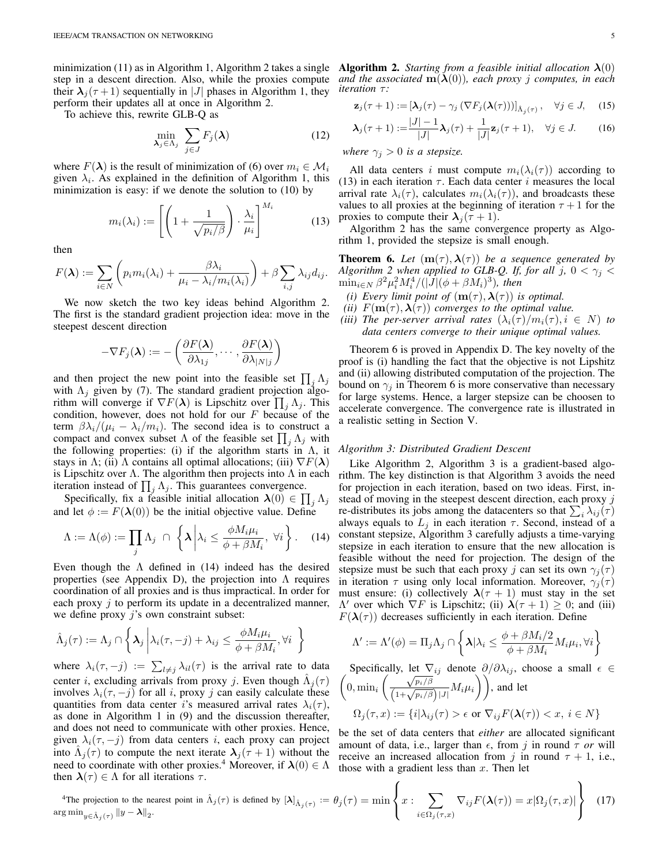minimization (11) as in Algorithm 1, Algorithm 2 takes a single **Algorithm 2.** *Starting from a feasible initial allocation*  $\lambda(0)$ step in a descent direction. Also, while the proxies compute *and the associated* m(λ(0))*, each proxy* j *computes, in each* their  $\lambda_j(\tau+1)$  sequentially in |J| phases in Algorithm 1, they *iteration*  $\tau$ *:* perform their updates all at once in Algorithm 2.

To achieve this, rewrite GLB-Q as

$$
\min_{\lambda_j \in \Lambda_j} \sum_{j \in J} F_j(\lambda) \tag{12}
$$

where  $F(\lambda)$  is the result of minimization of (6) over  $m_i \in \mathcal{M}_i$ given  $\lambda_i$ . As explained in the definition of Algorithm 1, this minimization is easy: if we denote the solution to (10) by

$$
m_i(\lambda_i) := \left[ \left( 1 + \frac{1}{\sqrt{p_i/\beta}} \right) \cdot \frac{\lambda_i}{\mu_i} \right]^{M_i} \tag{13}
$$

then

$$
F(\boldsymbol{\lambda}) := \sum_{i \in N} \left( p_i m_i(\lambda_i) + \frac{\beta \lambda_i}{\mu_i - \lambda_i/m_i(\lambda_i)} \right) + \beta \sum_{i,j} \lambda_{ij} d_{ij}.
$$

We now sketch the two key ideas behind Algorithm 2. The first is the standard gradient projection idea: move in the steepest descent direction

$$
-\nabla F_j(\boldsymbol{\lambda}):=-\left(\frac{\partial F(\boldsymbol{\lambda})}{\partial \lambda_{1j}},\cdots,\frac{\partial F(\boldsymbol{\lambda})}{\partial \lambda_{|N|j}}\right)
$$

and then project the new point into the feasible set  $\prod_j \Lambda_j$ with  $\Lambda_j$  given by (7). The standard gradient projection algorithm will converge if  $\nabla F(\lambda)$  is Lipschitz over  $\prod_j \Lambda_j$ . This condition, however, does not hold for our  $F$  because of the term  $\beta \lambda_i/(\mu_i - \lambda_i/m_i)$ . The second idea is to construct a compact and convex subset  $\Lambda$  of the feasible set  $\prod_j \Lambda_j$  with the following properties: (i) if the algorithm starts in  $\Lambda$ , it stays in Λ; (ii) Λ contains all optimal allocations; (iii)  $\nabla F(\lambda)$ is Lipschitz over  $\Lambda$ . The algorithm then projects into  $\Lambda$  in each iteration instead of  $\prod_j \Lambda_j$ . This guarantees convergence.

Specifically, fix a feasible initial allocation  $\lambda(0) \in \prod_j \Lambda_j$ and let  $\phi := F(\lambda(0))$  be the initial objective value. Define

$$
\Lambda := \Lambda(\phi) := \prod_j \Lambda_j \ \cap \ \left\{ \lambda \, \middle| \, \lambda_i \le \frac{\phi M_i \mu_i}{\phi + \beta M_i}, \ \forall i \right\}. \tag{14}
$$

Even though the  $\Lambda$  defined in (14) indeed has the desired properties (see Appendix D), the projection into  $\Lambda$  requires coordination of all proxies and is thus impractical. In order for each proxy  $j$  to perform its update in a decentralized manner, we define proxy  $j$ 's own constraint subset:

$$
\hat{\Lambda}_j(\tau) := \Lambda_j \cap \left\{ \lambda_j \left| \lambda_i(\tau, -j) + \lambda_{ij} \leq \frac{\phi M_i \mu_i}{\phi + \beta M_i}, \forall i \right. \right\}
$$

where  $\lambda_i(\tau, -j) := \sum_{l \neq j} \lambda_{il}(\tau)$  is the arrival rate to data center *i*, excluding arrivals from proxy *j*. Even though  $\hat{\Lambda}_j(\tau)$ involves  $\lambda_i(\tau, -i)$  for all i, proxy j can easily calculate these quantities from data center i's measured arrival rates  $\lambda_i(\tau)$ , as done in Algorithm 1 in (9) and the discussion thereafter, and does not need to communicate with other proxies. Hence, given  $\lambda_i(\tau, -j)$  from data centers i, each proxy can project into  $\hat{\Lambda}_j(\tau)$  to compute the next iterate  $\lambda_j(\tau+1)$  without the need to coordinate with other proxies.<sup>4</sup> Moreover, if  $\lambda(0) \in \Lambda$ then  $\lambda(\tau) \in \Lambda$  for all iterations  $\tau$ .

<sup>4</sup>The project  $j(\tau)$  is defined by  $[\boldsymbol{\lambda}]_{\hat{\Lambda}}$  $_{j}\left( \tau\right)$ :=  $\arg\min_{y \in \hat{\Lambda}_j(\tau)}$  $||y - \lambda||_2$ .  $\theta_j(\tau) = \min$ x :

$$
\mathbf{z}_{j}(\tau+1) := [\boldsymbol{\lambda}_{j}(\tau) - \gamma_{j} (\nabla F_{j}(\boldsymbol{\lambda}(\tau)))]_{\hat{\Lambda}_{j}(\tau)}, \quad \forall j \in J, \quad (15)
$$

$$
\boldsymbol{\lambda}_j(\tau+1) := \frac{|J|-1}{|J|} \boldsymbol{\lambda}_j(\tau) + \frac{1}{|J|} \mathbf{z}_j(\tau+1), \quad \forall j \in J. \tag{16}
$$

*where*  $\gamma_j > 0$  *is a stepsize.* 

All data centers i must compute  $m_i(\lambda_i(\tau))$  according to (13) in each iteration  $\tau$ . Each data center *i* measures the local arrival rate  $\lambda_i(\tau)$ , calculates  $m_i(\lambda_i(\tau))$ , and broadcasts these values to all proxies at the beginning of iteration  $\tau + 1$  for the proxies to compute their  $\lambda_i(\tau + 1)$ .

Algorithm 2 has the same convergence property as Algorithm 1, provided the stepsize is small enough.

**Theorem 6.** Let  $(m(\tau), \lambda(\tau))$  be a sequence generated by *Algorithm 2 when applied to GLB-Q. If, for all j,*  $0 < \gamma_j <$  $\min_{i \in N} \frac{\beta^2 \mu_i^2 M_i^4}{(|J|(\phi + \beta M_i)^3)}$ , then

- *(i) Every limit point of*  $(m(\tau), \lambda(\tau))$  *is optimal.*
- *(ii)*  $F(\mathbf{m}(\tau), \boldsymbol{\lambda}(\tau))$  *converges to the optimal value.*
- *(iii) The per-server arrival rates*  $(\lambda_i(\tau)/m_i(\tau), i \in N)$  *to data centers converge to their unique optimal values.*

Theorem 6 is proved in Appendix D. The key novelty of the proof is (i) handling the fact that the objective is not Lipshitz and (ii) allowing distributed computation of the projection. The bound on  $\gamma_i$  in Theorem 6 is more conservative than necessary for large systems. Hence, a larger stepsize can be choosen to accelerate convergence. The convergence rate is illustrated in a realistic setting in Section V.

#### *Algorithm 3: Distributed Gradient Descent*

Like Algorithm 2, Algorithm 3 is a gradient-based algorithm. The key distinction is that Algorithm 3 avoids the need for projection in each iteration, based on two ideas. First, instead of moving in the steepest descent direction, each proxy j re-distributes its jobs among the datacenters so that  $\sum_i \lambda_{ij}(\tau)$ always equals to  $L_j$  in each iteration  $\tau$ . Second, instead of a constant stepsize, Algorithm 3 carefully adjusts a time-varying stepsize in each iteration to ensure that the new allocation is feasible without the need for projection. The design of the stepsize must be such that each proxy j can set its own  $\gamma_i(\tau)$ in iteration  $\tau$  using only local information. Moreover,  $\gamma_i(\tau)$ must ensure: (i) collectively  $\lambda(\tau + 1)$  must stay in the set  $\Lambda'$  over which  $\nabla F$  is Lipschitz; (ii)  $\lambda(\tau + 1) \geq 0$ ; and (iii)  $F(\lambda(\tau))$  decreases sufficiently in each iteration. Define

$$
\Lambda' := \Lambda'(\phi) = \Pi_j \Lambda_j \cap \left\{ \lambda | \lambda_i \leq \frac{\phi + \beta M_i/2}{\phi + \beta M_i} M_i \mu_i, \forall i \right\}
$$

 $\sqrt{2}$ Specifically, let  $\nabla_{ij}$  denote  $\partial/\partial \lambda_{ij}$ , choose a small  $\epsilon \in$ specifically, let  $\sqrt{p_i/\beta}$ <br>0,  $\min_i \left( \frac{\sqrt{p_i/\beta}}{\sqrt{p_i/\beta}} \right)$  $\overline{\frac{\sqrt{p_i/\beta}}{(1+\sqrt{p_i/\beta})|J|}} M_i \mu_i\right),$  and let  $\Omega_j(\tau, x) := \{i | \lambda_{ij}(\tau) > \epsilon \text{ or } \nabla_{ij} F(\lambda(\tau)) < x, i \in N \}$ 

be the set of data centers that *either* are allocated significant amount of data, i.e., larger than  $\epsilon$ , from j in round  $\tau$  or will receive an increased allocation from j in round  $\tau + 1$ , i.e., those with a gradient less than  $x$ . Then let

 $\lambda$ 

(17)

tion to the nearest point in 
$$
\hat{\Lambda}_j(\tau)
$$
 is defined by  $[\lambda]_{\hat{\Lambda}_j(\tau)} := \theta_j(\tau) = \min \left\{ x : \sum_{i \in \Omega_j(\tau, x)} \nabla_{ij} F(\lambda(\tau)) = x |\Omega_j(\tau, x)| \right\}$ 

 $\epsilon$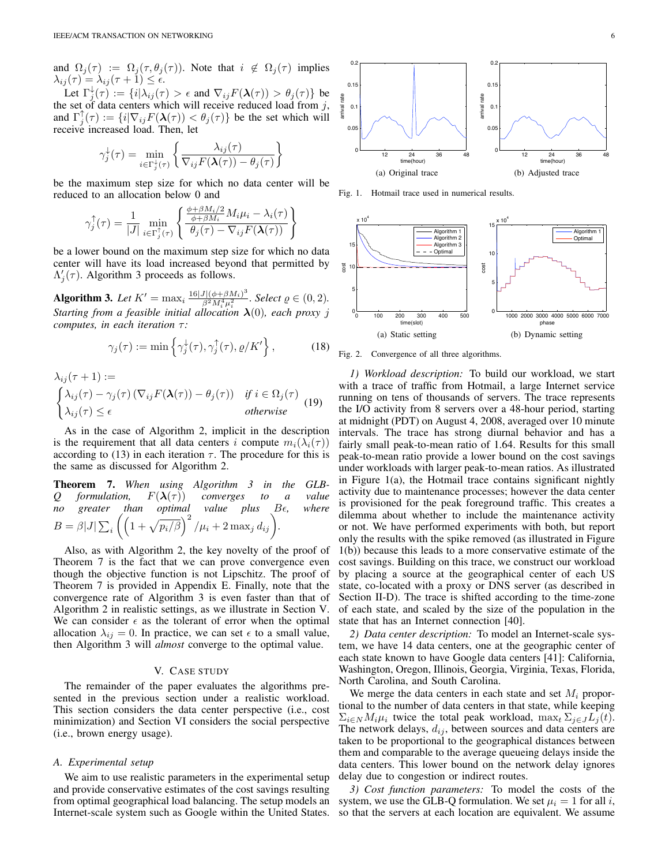and  $\Omega_i(\tau) := \Omega_i(\tau, \theta_i(\tau))$ . Note that  $i \notin \Omega_i(\tau)$  implies  $\lambda_{ij}(\tau) = \lambda_{ij}(\tau + 1) \leq \epsilon.$ 

Let  $\Gamma_j^{\downarrow}(\tau) := \{i | \lambda_{ij}(\tau) > \epsilon \text{ and } \nabla_{ij} F(\lambda(\tau)) > \theta_j(\tau) \}$  be the set of data centers which will receive reduced load from  $j$ , and  $\Gamma_j^{\uparrow}(\tau) := \{i | \nabla_{ij} F(\lambda(\tau)) < \theta_j(\tau) \}$  be the set which will receive increased load. Then, let

$$
\gamma_j^{\downarrow}(\tau) = \min_{i \in \Gamma_j^{\downarrow}(\tau)} \left\{ \frac{\lambda_{ij}(\tau)}{\nabla_{ij} F(\lambda(\tau)) - \theta_j(\tau)} \right\}
$$

be the maximum step size for which no data center will be reduced to an allocation below 0 and

$$
\gamma_j^{\uparrow}(\tau) = \frac{1}{|J|} \min_{i \in \Gamma_j^{\uparrow}(\tau)} \left\{ \frac{\frac{\phi + \beta M_i/2}{\phi + \beta M_i} M_i \mu_i - \lambda_i(\tau)}{\theta_j(\tau) - \nabla_{ij} F(\lambda(\tau))} \right\}
$$

be a lower bound on the maximum step size for which no data center will have its load increased beyond that permitted by  $\Lambda_j'(\tau)$ . Algorithm 3 proceeds as follows.

**Algorithm 3.** Let  $K' = \max_i \frac{16|J|(\phi + \beta M_i)^3}{\beta^2 M^4 u^2}$  $\frac{\beta^2 M_i^4 \mu_i^2}{\beta^2 M_i^4 \mu_i^2}$ . Select  $\varrho \in (0, 2)$ . *Starting from a feasible initial allocation* λ(0)*, each proxy* j *computes, in each iteration τ:* 

$$
\gamma_j(\tau) := \min\left\{ \gamma_j^{\downarrow}(\tau), \gamma_j^{\uparrow}(\tau), \varrho/K' \right\},\tag{18}
$$

$$
\lambda_{ij}(\tau + 1) :=
$$
\n
$$
\begin{cases}\n\lambda_{ij}(\tau) - \gamma_j(\tau) (\nabla_{ij} F(\lambda(\tau)) - \theta_j(\tau)) & \text{if } i \in \Omega_j(\tau) \\
\lambda_{ij}(\tau) \le \epsilon & \text{otherwise}\n\end{cases}
$$
\n(19)

As in the case of Algorithm 2, implicit in the description is the requirement that all data centers i compute  $m_i(\lambda_i(\tau))$ according to (13) in each iteration  $\tau$ . The procedure for this is the same as discussed for Algorithm 2.

Theorem 7. *When using Algorithm 3 in the GLB-* $Q$  formulation,  $F(\lambda(\tau))$  converges to a value *no greater than optimal value plus* B*, where*  $B = \beta |J| \sum_i \left( \left( 1 + \sqrt{p_i/\beta} \right)^2 / \mu_i + 2 \max_j d_{ij} \right).$ 

Also, as with Algorithm 2, the key novelty of the proof of Theorem 7 is the fact that we can prove convergence even though the objective function is not Lipschitz. The proof of Theorem 7 is provided in Appendix E. Finally, note that the convergence rate of Algorithm 3 is even faster than that of Algorithm 2 in realistic settings, as we illustrate in Section V. We can consider  $\epsilon$  as the tolerant of error when the optimal allocation  $\lambda_{ij} = 0$ . In practice, we can set  $\epsilon$  to a small value, then Algorithm 3 will *almost* converge to the optimal value.

#### V. CASE STUDY

The remainder of the paper evaluates the algorithms presented in the previous section under a realistic workload. This section considers the data center perspective (i.e., cost minimization) and Section VI considers the social perspective (i.e., brown energy usage).

#### *A. Experimental setup*

We aim to use realistic parameters in the experimental setup and provide conservative estimates of the cost savings resulting from optimal geographical load balancing. The setup models an Internet-scale system such as Google within the United States.



Fig. 1. Hotmail trace used in numerical results.



Fig. 2. Convergence of all three algorithms.

*1) Workload description:* To build our workload, we start with a trace of traffic from Hotmail, a large Internet service running on tens of thousands of servers. The trace represents the I/O activity from 8 servers over a 48-hour period, starting at midnight (PDT) on August 4, 2008, averaged over 10 minute intervals. The trace has strong diurnal behavior and has a fairly small peak-to-mean ratio of 1.64. Results for this small peak-to-mean ratio provide a lower bound on the cost savings under workloads with larger peak-to-mean ratios. As illustrated in Figure 1(a), the Hotmail trace contains significant nightly activity due to maintenance processes; however the data center is provisioned for the peak foreground traffic. This creates a dilemma about whether to include the maintenance activity or not. We have performed experiments with both, but report only the results with the spike removed (as illustrated in Figure 1(b)) because this leads to a more conservative estimate of the cost savings. Building on this trace, we construct our workload by placing a source at the geographical center of each US state, co-located with a proxy or DNS server (as described in Section II-D). The trace is shifted according to the time-zone of each state, and scaled by the size of the population in the state that has an Internet connection [40].

*2) Data center description:* To model an Internet-scale system, we have 14 data centers, one at the geographic center of each state known to have Google data centers [41]: California, Washington, Oregon, Illinois, Georgia, Virginia, Texas, Florida, North Carolina, and South Carolina.

We merge the data centers in each state and set  $M_i$  proportional to the number of data centers in that state, while keeping  $\sum_{i \in N} M_i \mu_i$  twice the total peak workload,  $\max_t \sum_{j \in J} L_j(t)$ . The network delays,  $d_{ij}$ , between sources and data centers are taken to be proportional to the geographical distances between them and comparable to the average queueing delays inside the data centers. This lower bound on the network delay ignores delay due to congestion or indirect routes.

*3) Cost function parameters:* To model the costs of the system, we use the GLB-Q formulation. We set  $\mu_i = 1$  for all i, so that the servers at each location are equivalent. We assume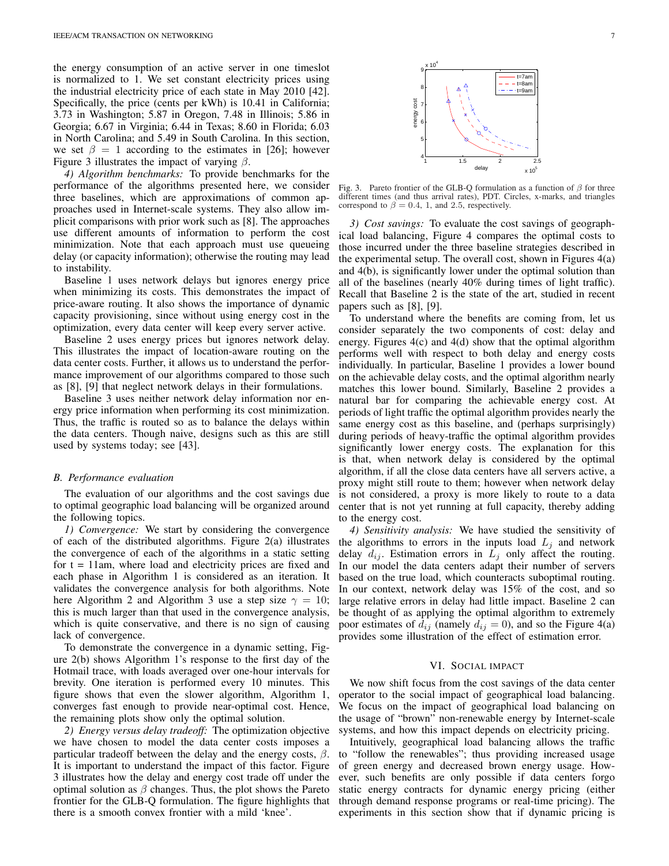the energy consumption of an active server in one timeslot is normalized to 1. We set constant electricity prices using the industrial electricity price of each state in May 2010 [42]. Specifically, the price (cents per kWh) is 10.41 in California; 3.73 in Washington; 5.87 in Oregon, 7.48 in Illinois; 5.86 in Georgia; 6.67 in Virginia; 6.44 in Texas; 8.60 in Florida; 6.03 in North Carolina; and 5.49 in South Carolina. In this section, we set  $\beta = 1$  according to the estimates in [26]; however Figure 3 illustrates the impact of varying  $\beta$ .

*4) Algorithm benchmarks:* To provide benchmarks for the performance of the algorithms presented here, we consider three baselines, which are approximations of common approaches used in Internet-scale systems. They also allow implicit comparisons with prior work such as [8]. The approaches use different amounts of information to perform the cost minimization. Note that each approach must use queueing delay (or capacity information); otherwise the routing may lead to instability.

Baseline 1 uses network delays but ignores energy price when minimizing its costs. This demonstrates the impact of price-aware routing. It also shows the importance of dynamic capacity provisioning, since without using energy cost in the optimization, every data center will keep every server active.

Baseline 2 uses energy prices but ignores network delay. This illustrates the impact of location-aware routing on the data center costs. Further, it allows us to understand the performance improvement of our algorithms compared to those such as [8], [9] that neglect network delays in their formulations.

Baseline 3 uses neither network delay information nor energy price information when performing its cost minimization. Thus, the traffic is routed so as to balance the delays within the data centers. Though naive, designs such as this are still used by systems today; see [43].

#### *B. Performance evaluation*

The evaluation of our algorithms and the cost savings due to optimal geographic load balancing will be organized around the following topics.

*1) Convergence:* We start by considering the convergence of each of the distributed algorithms. Figure 2(a) illustrates the convergence of each of the algorithms in a static setting for  $t = 11$ am, where load and electricity prices are fixed and each phase in Algorithm 1 is considered as an iteration. It validates the convergence analysis for both algorithms. Note here Algorithm 2 and Algorithm 3 use a step size  $\gamma = 10$ ; this is much larger than that used in the convergence analysis, which is quite conservative, and there is no sign of causing lack of convergence.

To demonstrate the convergence in a dynamic setting, Figure 2(b) shows Algorithm 1's response to the first day of the Hotmail trace, with loads averaged over one-hour intervals for brevity. One iteration is performed every 10 minutes. This figure shows that even the slower algorithm, Algorithm 1, converges fast enough to provide near-optimal cost. Hence, the remaining plots show only the optimal solution.

*2) Energy versus delay tradeoff:* The optimization objective we have chosen to model the data center costs imposes a particular tradeoff between the delay and the energy costs,  $\beta$ . It is important to understand the impact of this factor. Figure 3 illustrates how the delay and energy cost trade off under the optimal solution as  $\beta$  changes. Thus, the plot shows the Pareto frontier for the GLB-Q formulation. The figure highlights that there is a smooth convex frontier with a mild 'knee'.



Fig. 3. Pareto frontier of the GLB-Q formulation as a function of  $\beta$  for three different times (and thus arrival rates), PDT. Circles, x-marks, and triangles correspond to  $\beta = 0.4$ , 1, and 2.5, respectively.

*3) Cost savings:* To evaluate the cost savings of geographical load balancing, Figure 4 compares the optimal costs to those incurred under the three baseline strategies described in the experimental setup. The overall cost, shown in Figures  $4(a)$ and 4(b), is significantly lower under the optimal solution than all of the baselines (nearly 40% during times of light traffic). Recall that Baseline 2 is the state of the art, studied in recent papers such as [8], [9].

To understand where the benefits are coming from, let us consider separately the two components of cost: delay and energy. Figures 4(c) and 4(d) show that the optimal algorithm performs well with respect to both delay and energy costs individually. In particular, Baseline 1 provides a lower bound on the achievable delay costs, and the optimal algorithm nearly matches this lower bound. Similarly, Baseline 2 provides a natural bar for comparing the achievable energy cost. At periods of light traffic the optimal algorithm provides nearly the same energy cost as this baseline, and (perhaps surprisingly) during periods of heavy-traffic the optimal algorithm provides significantly lower energy costs. The explanation for this is that, when network delay is considered by the optimal algorithm, if all the close data centers have all servers active, a proxy might still route to them; however when network delay is not considered, a proxy is more likely to route to a data center that is not yet running at full capacity, thereby adding to the energy cost.

*4) Sensitivity analysis:* We have studied the sensitivity of the algorithms to errors in the inputs load  $L_i$  and network delay  $d_{ij}$ . Estimation errors in  $L_j$  only affect the routing. In our model the data centers adapt their number of servers based on the true load, which counteracts suboptimal routing. In our context, network delay was 15% of the cost, and so large relative errors in delay had little impact. Baseline 2 can be thought of as applying the optimal algorithm to extremely poor estimates of  $d_{ij}$  (namely  $d_{ij} = 0$ ), and so the Figure 4(a) provides some illustration of the effect of estimation error.

# VI. SOCIAL IMPACT

We now shift focus from the cost savings of the data center operator to the social impact of geographical load balancing. We focus on the impact of geographical load balancing on the usage of "brown" non-renewable energy by Internet-scale systems, and how this impact depends on electricity pricing.

Intuitively, geographical load balancing allows the traffic to "follow the renewables"; thus providing increased usage of green energy and decreased brown energy usage. However, such benefits are only possible if data centers forgo static energy contracts for dynamic energy pricing (either through demand response programs or real-time pricing). The experiments in this section show that if dynamic pricing is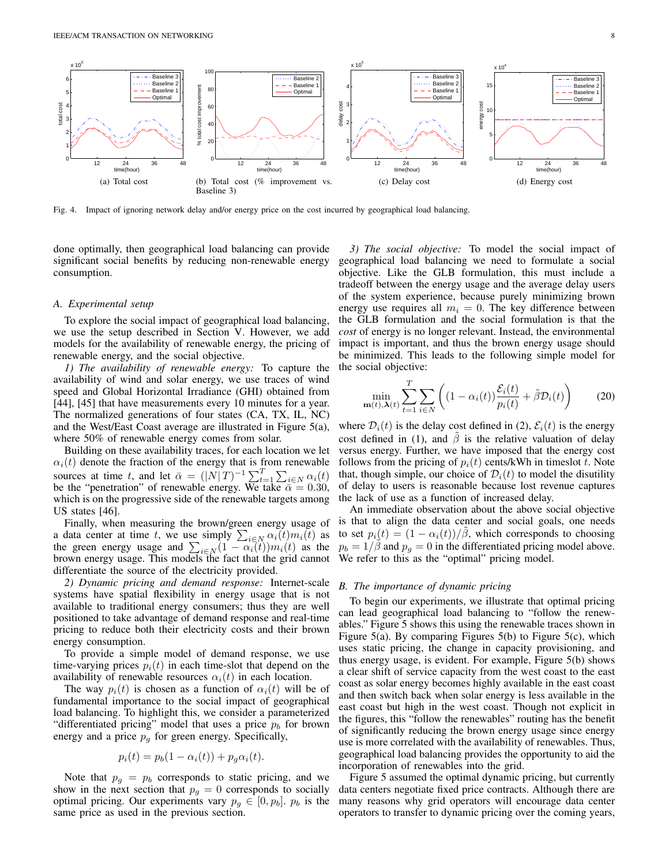

Fig. 4. Impact of ignoring network delay and/or energy price on the cost incurred by geographical load balancing.

done optimally, then geographical load balancing can provide significant social benefits by reducing non-renewable energy consumption.

#### *A. Experimental setup*

To explore the social impact of geographical load balancing, we use the setup described in Section V. However, we add models for the availability of renewable energy, the pricing of renewable energy, and the social objective.

*1) The availability of renewable energy:* To capture the availability of wind and solar energy, we use traces of wind speed and Global Horizontal Irradiance (GHI) obtained from [44], [45] that have measurements every 10 minutes for a year. The normalized generations of four states (CA, TX, IL, NC) and the West/East Coast average are illustrated in Figure 5(a), where 50% of renewable energy comes from solar.

Building on these availability traces, for each location we let  $\alpha_i(t)$  denote the fraction of the energy that is from renewable sources at time t, and let  $\bar{\alpha} = (|N|T)^{-1} \sum_{t=1}^{T} \sum_{i \in N} \alpha_i(t)$ be the "penetration" of renewable energy. We take  $\overline{\alpha} = 0.30$ , which is on the progressive side of the renewable targets among US states [46].

Finally, when measuring the brown/green energy usage of a data center at time t, we use simply  $\sum_{i \in \mathbb{N}} \alpha_i(t) m_i(t)$  as the green energy usage and  $\sum_{i \in N} (1 - \alpha_i(t)) m_i(t)$  as the brown energy usage. This models the fact that the grid cannot differentiate the source of the electricity provided.

*2) Dynamic pricing and demand response:* Internet-scale systems have spatial flexibility in energy usage that is not available to traditional energy consumers; thus they are well positioned to take advantage of demand response and real-time pricing to reduce both their electricity costs and their brown energy consumption.

To provide a simple model of demand response, we use time-varying prices  $p_i(t)$  in each time-slot that depend on the availability of renewable resources  $\alpha_i(t)$  in each location.

The way  $p_i(t)$  is chosen as a function of  $\alpha_i(t)$  will be of fundamental importance to the social impact of geographical load balancing. To highlight this, we consider a parameterized "differentiated pricing" model that uses a price  $p<sub>b</sub>$  for brown energy and a price  $p<sub>q</sub>$  for green energy. Specifically,

$$
p_i(t) = p_b(1 - \alpha_i(t)) + p_g \alpha_i(t).
$$

Note that  $p_q = p_b$  corresponds to static pricing, and we show in the next section that  $p<sub>g</sub> = 0$  corresponds to socially optimal pricing. Our experiments vary  $p_a \in [0, p_b]$ .  $p_b$  is the same price as used in the previous section.

*3) The social objective:* To model the social impact of geographical load balancing we need to formulate a social objective. Like the GLB formulation, this must include a tradeoff between the energy usage and the average delay users of the system experience, because purely minimizing brown energy use requires all  $m_i = 0$ . The key difference between the GLB formulation and the social formulation is that the *cost* of energy is no longer relevant. Instead, the environmental impact is important, and thus the brown energy usage should be minimized. This leads to the following simple model for the social objective:

$$
\min_{\mathbf{m}(t),\mathbf{\lambda}(t)} \sum_{t=1}^{T} \sum_{i \in N} \left( (1 - \alpha_i(t)) \frac{\mathcal{E}_i(t)}{p_i(t)} + \tilde{\beta} \mathcal{D}_i(t) \right) \tag{20}
$$

where  $\mathcal{D}_i(t)$  is the delay cost defined in (2),  $\mathcal{E}_i(t)$  is the energy cost defined in (1), and  $\hat{\beta}$  is the relative valuation of delay versus energy. Further, we have imposed that the energy cost follows from the pricing of  $p_i(t)$  cents/kWh in timeslot t. Note that, though simple, our choice of  $\mathcal{D}_i(t)$  to model the disutility of delay to users is reasonable because lost revenue captures the lack of use as a function of increased delay.

An immediate observation about the above social objective is that to align the data center and social goals, one needs to set  $p_i(t) = (1 - \alpha_i(t))/\beta$ , which corresponds to choosing  $p_b = 1/\hat{\beta}$  and  $p_g = 0$  in the differentiated pricing model above. We refer to this as the "optimal" pricing model.

#### *B. The importance of dynamic pricing*

To begin our experiments, we illustrate that optimal pricing can lead geographical load balancing to "follow the renewables." Figure 5 shows this using the renewable traces shown in Figure 5(a). By comparing Figures 5(b) to Figure 5(c), which uses static pricing, the change in capacity provisioning, and thus energy usage, is evident. For example, Figure 5(b) shows a clear shift of service capacity from the west coast to the east coast as solar energy becomes highly available in the east coast and then switch back when solar energy is less available in the east coast but high in the west coast. Though not explicit in the figures, this "follow the renewables" routing has the benefit of significantly reducing the brown energy usage since energy use is more correlated with the availability of renewables. Thus, geographical load balancing provides the opportunity to aid the incorporation of renewables into the grid.

Figure 5 assumed the optimal dynamic pricing, but currently data centers negotiate fixed price contracts. Although there are many reasons why grid operators will encourage data center operators to transfer to dynamic pricing over the coming years,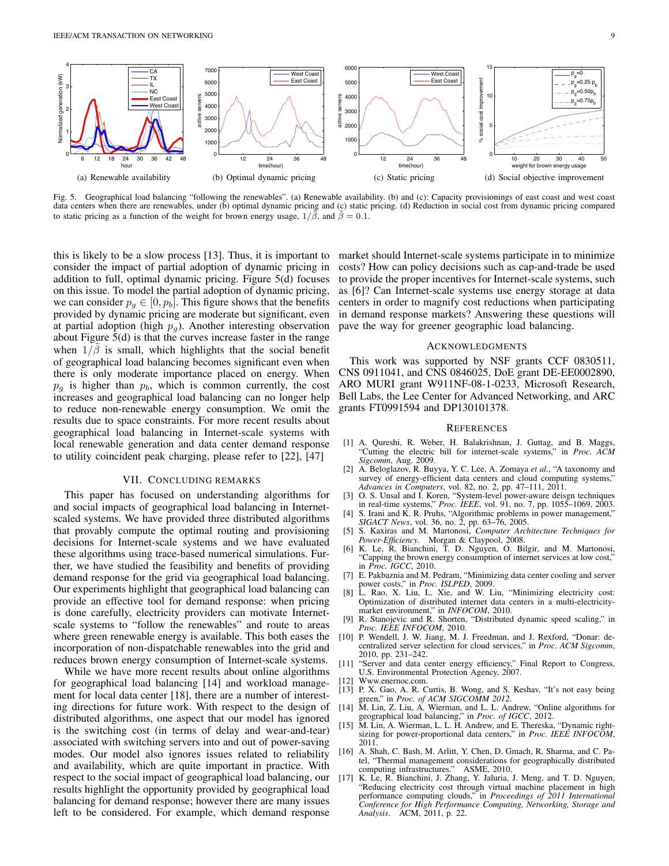

Fig. 5. Geographical load balancing "following the renewables". (a) Renewable availability. (b) and (c): Capacity provisionings of east coast and west coast data centers when there are renewables, under (b) optimal dynamic pricing and (c) static pricing. (d) Reduction in social cost from dynamic pricing compared to static pricing as a function of the weight for brown energy usage,  $1/\beta$ , and  $\beta = 0.1$ .

this is likely to be a slow process [13]. Thus, it is important to market should Internet-scale systems participate in to minimize consider the impact of partial adoption of dynamic pricing in addition to full, optimal dynamic pricing. Figure 5(d) focuses on this issue. To model the partial adoption of dynamic pricing, we can consider  $p_a \in [0, p_b]$ . This figure shows that the benefits provided by dynamic pricing are moderate but significant, even at partial adoption (high  $p_q$ ). Another interesting observation about Figure 5(d) is that the curves increase faster in the range when  $1/\hat{\beta}$  is small, which highlights that the social benefit of geographical load balancing becomes significant even when there is only moderate importance placed on energy. When  $p_q$  is higher than  $p_b$ , which is common currently, the cost increases and geographical load balancing can no longer help to reduce non-renewable energy consumption. We omit the results due to space constraints. For more recent results about geographical load balancing in Internet-scale systems with local renewable generation and data center demand response to utility coincident peak charging, please refer to [22], [47]

#### VII. CONCLUDING REMARKS

This paper has focused on understanding algorithms for and social impacts of geographical load balancing in Internetscaled systems. We have provided three distributed algorithms that provably compute the optimal routing and provisioning decisions for Internet-scale systems and we have evaluated these algorithms using trace-based numerical simulations. Further, we have studied the feasibility and benefits of providing demand response for the grid via geographical load balancing. Our experiments highlight that geographical load balancing can provide an effective tool for demand response: when pricing is done carefully, electricity providers can motivate Internetscale systems to "follow the renewables" and route to areas where green renewable energy is available. This both eases the incorporation of non-dispatchable renewables into the grid and reduces brown energy consumption of Internet-scale systems.

While we have more recent results about online algorithms for geographical load balancing [14] and workload management for local data center [18], there are a number of interesting directions for future work. With respect to the design of distributed algorithms, one aspect that our model has ignored is the switching cost (in terms of delay and wear-and-tear) associated with switching servers into and out of power-saving modes. Our model also ignores issues related to reliability and availability, which are quite important in practice. With respect to the social impact of geographical load balancing, our results highlight the opportunity provided by geographical load balancing for demand response; however there are many issues left to be considered. For example, which demand response

costs? How can policy decisions such as cap-and-trade be used to provide the proper incentives for Internet-scale systems, such as [6]? Can Internet-scale systems use energy storage at data centers in order to magnify cost reductions when participating in demand response markets? Answering these questions will pave the way for greener geographic load balancing.

#### ACKNOWLEDGMENTS

This work was supported by NSF grants CCF 0830511, CNS 0911041, and CNS 0846025, DoE grant DE-EE0002890, ARO MURI grant W911NF-08-1-0233, Microsoft Research, Bell Labs, the Lee Center for Advanced Networking, and ARC grants FT0991594 and DP130101378.

#### **REFERENCES**

- [1] A. Qureshi, R. Weber, H. Balakrishnan, J. Guttag, and B. Maggs, "Cutting the electric bill for internet-scale systems," in *Proc. ACM Sigcomm*, Aug. 2009.
- [2] A. Beloglazov, R. Buyya, Y. C. Lee, A. Zomaya *et al.*, "A taxonomy and survey of energy-efficient data centers and cloud computing systems, *Advances in Computers*, vol. 82, no. 2, pp. 47–111, 2011.
- [3] O. S. Unsal and I. Koren, "System-level power-aware deisgn techniques in real-time systems," *Proc. IEEE*, vol. 91, no. 7, pp. 1055–1069, 2003.
- [4] S. Irani and K. R. Pruhs, "Algorithmic problems in power management," *SIGACT News*, vol. 36, no. 2, pp. 63–76, 2005.
- [5] S. Kaxiras and M. Martonosi, *Computer Architecture Techniques for Power-Efficiency*. Morgan & Claypool, 2008.
- [6] K. Le, R. Bianchini, T. D. Nguyen, O. Bilgir, and M. Martonosi, "Capping the brown energy consumption of internet services at low cost," in *Proc. IGCC*, 2010.
- [7] E. Pakbaznia and M. Pedram, "Minimizing data center cooling and server power costs," in *Proc. ISLPED*, 2009.
- [8] L. Rao, X. Liu, L. Xie, and W. Liu, "Minimizing electricity cost: Optimization of distributed internet data centers in a multi-electricitymarket environment," in *INFOCOM*, 2010.
- [9] R. Stanojevic and R. Shorten, "Distributed dynamic speed scaling," in *Proc. IEEE INFOCOM*, 2010.
- [10] P. Wendell, J. W. Jiang, M. J. Freedman, and J. Rexford, "Donar: decentralized server selection for cloud services," in *Proc. ACM Sigcomm*, 2010, pp. 231–242.
- [11] "Server and data center energy efficiency," Final Report to Congress, U.S. Environmental Protection Agency, 2007.
- [12] Www.enernoc.com. [13] P. X. Gao, A. R. Curtis, B. Wong, and S. Keshav, "It's not easy being
- green," in *Proc. of ACM SIGCOMM 2012*. [14] M. Lin, Z. Liu, A. Wierman, and L. L. Andrew, "Online algorithms for geographical load balancing," in *Proc. of IGCC*, 2012.
- [15] M. Lin, A. Wierman, L. L. H. Andrew, and E. Thereska, "Dynamic rightsizing for power-proportional data centers," in *Proc. IEEE INFOCOM*, 2011.
- [16] A. Shah, C. Bash, M. Arlitt, Y. Chen, D. Gmach, R. Sharma, and C. Patel, "Thermal management considerations for geographically distributed computing infrastructures."
- [17] K. Le, R. Bianchini, J. Zhang, Y. Jaluria, J. Meng, and T. D. Nguyen, "Reducing electricity cost through virtual machine placement in high performance computing clouds," in *Proceedings of 2011 International Conference for High Performance Computing, Networking, Storage and Analysis*. ACM, 2011, p. 22.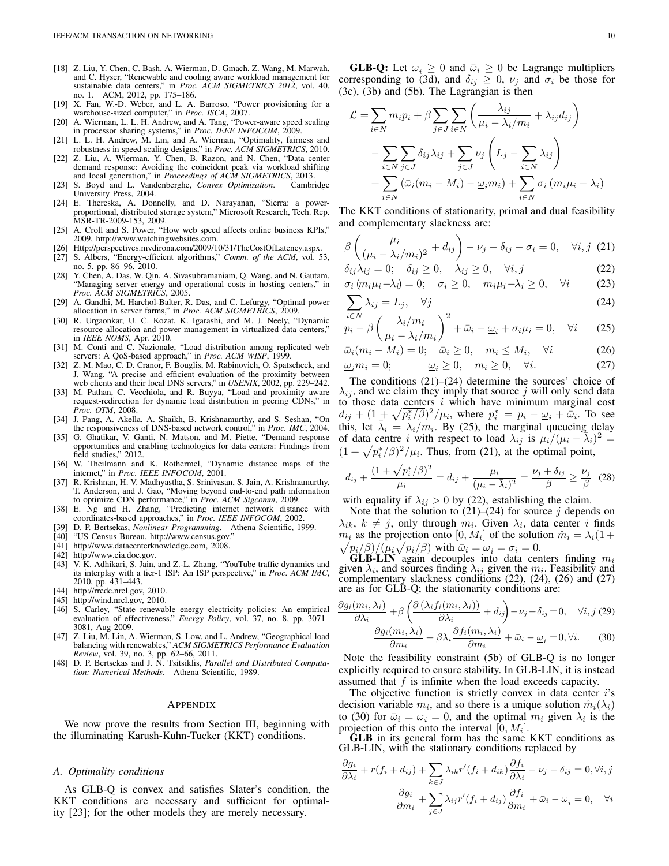- [18] Z. Liu, Y. Chen, C. Bash, A. Wierman, D. Gmach, Z. Wang, M. Marwah, and C. Hyser, "Renewable and cooling aware workload management for sustainable data centers," in *Proc. ACM SIGMETRICS 2012*, vol. 40, no. 1. ACM, 2012, pp. 175–186.
- [19] X. Fan, W.-D. Weber, and L. A. Barroso, "Power provisioning for a warehouse-sized computer," in *Proc. ISCA*, 2007.
- [20] A. Wierman, L. L. H. Andrew, and A. Tang, "Power-aware speed scaling in processor sharing systems," in *Proc. IEEE INFOCOM*, 2009.
- [21] L. L. H. Andrew, M. Lin, and A. Wierman, "Optimality, fairness and robustness in speed scaling designs," in *Proc. ACM SIGMETRICS*, 2010.
- [22] Z. Liu, A. Wierman, Y. Chen, B. Razon, and N. Chen, "Data center demand response: Avoiding the coincident peak via workload shifting and local generation," in *Proceedings of ACM SIGMETRICS*, 2013. S. Boyd and L. Vandenberghe, *Convex Optimization*. Cambridge
- [23] S. Boyd and L. Vandenberghe, *Convex Optimization*. University Press, 2004.
- [24] E. Thereska, A. Donnelly, and D. Narayanan, "Sierra: a powerproportional, distributed storage system," Microsoft Research, Tech. Rep. MSR-TR-2009-153, 2009.
- [25] A. Croll and S. Power, "How web speed affects online business KPIs," 2009, http://www.watchingwebsites.com.
- [26] Http://perspectives.mvdirona.com/2009/10/31/TheCostOfLatency.aspx.
- [27] S. Albers, "Energy-efficient algorithms," *Comm. of the ACM*, vol. 53, no. 5, pp. 86–96, 2010.
- [28] Y. Chen, A. Das, W. Qin, A. Sivasubramaniam, Q. Wang, and N. Gautam, "Managing server energy and operational costs in hosting centers," in *Proc. ACM SIGMETRICS*, 2005.
- [29] A. Gandhi, M. Harchol-Balter, R. Das, and C. Lefurgy, "Optimal power allocation in server farms," in *Proc. ACM SIGMETRICS*, 2009.
- [30] R. Urgaonkar, U. C. Kozat, K. Igarashi, and M. J. Neely, "Dynamic resource allocation and power management in virtualized data centers," in *IEEE NOMS*, Apr. 2010.
- [31] M. Conti and C. Nazionale, "Load distribution among replicated web servers: A QoS-based approach," in *Proc. ACM WISP*, 1999.
- [32] Z. M. Mao, C. D. Cranor, F. Bouglis, M. Rabinovich, O. Spatscheck, and J. Wang, "A precise and efficient evaluation of the proximity between web clients and their local DNS servers," in *USENIX*, 2002, pp. 229–242.
- [33] M. Pathan, C. Vecchiola, and R. Buyya, "Load and proximity aware request-redirection for dynamic load distribution in peering CDNs," in *Proc. OTM*, 2008.
- [34] J. Pang, A. Akella, A. Shaikh, B. Krishnamurthy, and S. Seshan, "On the responsiveness of DNS-based network control," in *Proc. IMC*, 2004.
- [35] G. Ghatikar, V. Ganti, N. Matson, and M. Piette, "Demand response opportunities and enabling technologies for data centers: Findings from field studies," 2012.
- [36] W. Theilmann and K. Rothermel, "Dynamic distance maps of the internet," in *Proc. IEEE INFOCOM*, 2001.
- [37] R. Krishnan, H. V. Madhyastha, S. Srinivasan, S. Jain, A. Krishnamurthy, T. Anderson, and J. Gao, "Moving beyond end-to-end path information to optimize CDN performance," in *Proc. ACM Sigcomm*, 2009.
- [38] E. Ng and H. Zhang, "Predicting internet network distance with coordinates-based approaches," in *Proc. IEEE INFOCOM*, 2002.
- [39] D. P. Bertsekas, *Nonlinear Programming*. Athena Scientific, 1999.
- [40] "US Census Bureau, http://www.census.gov."
- [41] http://www.datacenterknowledge.com, 2008.
- [42] http://www.eia.doe.gov.
- [43] V. K. Adhikari, S. Jain, and Z.-L. Zhang, "YouTube traffic dynamics and its interplay with a tier-1 ISP: An ISP perspective," in *Proc. ACM IMC*, 2010, pp. 431–443.
- [44] http://rredc.nrel.gov, 2010.
- [45] http://wind.nrel.gov, 2010.
- [46] S. Carley, "State renewable energy electricity policies: An empirical evaluation of effectiveness," *Energy Policy*, vol. 37, no. 8, pp. 3071– 3081, Aug 2009.
- [47] Z. Liu, M. Lin, A. Wierman, S. Low, and L. Andrew, "Geographical load balancing with renewables," *ACM SIGMETRICS Performance Evaluation Review*, vol. 39, no. 3, pp. 62–66, 2011.
- [48] D. P. Bertsekas and J. N. Tsitsiklis, *Parallel and Distributed Computation: Numerical Methods*. Athena Scientific, 1989.

#### APPENDIX

We now prove the results from Section III, beginning with the illuminating Karush-Kuhn-Tucker (KKT) conditions.

#### *A. Optimality conditions*

As GLB-Q is convex and satisfies Slater's condition, the KKT conditions are necessary and sufficient for optimality [23]; for the other models they are merely necessary.

**GLB-Q:** Let  $\underline{\omega}_i \geq 0$  and  $\overline{\omega}_i \geq 0$  be Lagrange multipliers corresponding to (3d), and  $\delta_{ij} \geq 0$ ,  $\nu_j$  and  $\sigma_i$  be those for (3c), (3b) and (5b). The Lagrangian is then

$$
\mathcal{L} = \sum_{i \in N} m_i p_i + \beta \sum_{j \in J} \sum_{i \in N} \left( \frac{\lambda_{ij}}{\mu_i - \lambda_i / m_i} + \lambda_{ij} d_{ij} \right)
$$

$$
- \sum_{i \in N} \sum_{j \in J} \delta_{ij} \lambda_{ij} + \sum_{j \in J} \nu_j \left( L_j - \sum_{i \in N} \lambda_{ij} \right)
$$

$$
+ \sum_{i \in N} (\bar{\omega}_i (m_i - M_i) - \underline{\omega}_i m_i) + \sum_{i \in N} \sigma_i (m_i \mu_i - \lambda_i)
$$

The KKT conditions of stationarity, primal and dual feasibility and complementary slackness are:

$$
\beta\left(\frac{\mu_i}{(\mu_i - \lambda_i/m_i)^2} + d_{ij}\right) - \nu_j - \delta_{ij} - \sigma_i = 0, \quad \forall i, j \tag{21}
$$

$$
\delta_{ij}\lambda_{ij} = 0; \quad \delta_{ij} \ge 0, \quad \lambda_{ij} \ge 0, \quad \forall i, j \tag{22}
$$

$$
\sigma_i (m_i \mu_i - \lambda_i) = 0; \quad \sigma_i \ge 0, \quad m_i \mu_i - \lambda_i \ge 0, \quad \forall i \tag{23}
$$

$$
\sum_{i \in N} \lambda_{ij} = L_j, \quad \forall j
$$
\n
$$
\sum_{i \in N} \lambda_{ij} = L_j, \quad \forall j
$$
\n(24)

$$
p_i - \beta \left( \frac{\lambda_i/m_i}{\mu_i - \lambda_i/m_i} \right)^2 + \bar{\omega}_i - \underline{\omega}_i + \sigma_i \mu_i = 0, \quad \forall i \qquad (25)
$$

$$
\bar{\omega}_i(m_i - M_i) = 0; \quad \bar{\omega}_i \ge 0, \quad m_i \le M_i, \quad \forall i \tag{26}
$$

$$
\underline{\omega}_i m_i = 0; \qquad \underline{\omega}_i \ge 0, \quad m_i \ge 0, \quad \forall i. \tag{27}
$$

The conditions (21)–(24) determine the sources' choice of  $\lambda_{ij}$ , and we claim they imply that source j will only send data to those data centers  $i$  which have minimum marginal cost  $d_{ij} + (1 + \sqrt{p_i^*/\beta})^2/\mu_i$ , where  $p_i^* = p_i - \underline{\omega}_i + \bar{\omega}_i$ . To see this, let  $\bar{\lambda}_i = \lambda_i / m_i$ . By (25), the marginal queueing delay of data centre *i* with respect to load  $\lambda_{ij}$  is  $\mu_i/(\mu_i - \lambda_i)^2 =$  $(1 + \sqrt{p_i^*/\beta})^2/\mu_i$ . Thus, from (21), at the optimal point,

$$
d_{ij} + \frac{(1 + \sqrt{p_i^*/\beta})^2}{\mu_i} = d_{ij} + \frac{\mu_i}{(\mu_i - \bar{\lambda}_i)^2} = \frac{\nu_j + \delta_{ij}}{\beta} \ge \frac{\nu_j}{\beta} \quad (28)
$$

with equality if  $\lambda_{ij} > 0$  by (22), establishing the claim.

Note that the solution to  $(21)$ – $(24)$  for source j depends on  $\lambda_{ik}$ ,  $k \neq j$ , only through  $m_i$ . Given  $\lambda_i$ , data center i finds  $m_i$  as the projection onto  $[0, M_i]$  of the solution  $\hat{m}_i = \lambda_i(1 +$  $\sqrt{p_i/\beta}$ ) $\sqrt{\mu_i\sqrt{p_i/\beta}}$  with  $\bar{\omega}_i = \underline{\omega}_i = \sigma_i = 0$ .

**GLB-LIN** again decouples into data centers finding  $m_i$ given  $\lambda_i$ , and sources finding  $\lambda_{ij}$  given the  $m_i$ . Feasibility and complementary slackness conditions (22), (24), (26) and (27) are as for GLB-Q; the stationarity conditions are:

$$
\frac{\partial g_i(m_i, \lambda_i)}{\partial \lambda_i} + \beta \left( \frac{\partial \left( \lambda_i f_i(m_i, \lambda_i) \right)}{\partial \lambda_i} + d_{ij} \right) - \nu_j - \delta_{ij} = 0, \quad \forall i, j \text{ (29)}
$$

$$
\frac{\partial g_i(m_i, \lambda_i)}{\partial m_i} + \beta \lambda_i \frac{\partial f_i(m_i, \lambda_i)}{\partial m_i} + \bar{\omega}_i - \underline{\omega}_i = 0, \forall i. \tag{30}
$$

Note the feasibility constraint (5b) of GLB-Q is no longer explicitly required to ensure stability. In GLB-LIN, it is instead assumed that f is infinite when the load exceeds capacity.

The objective function is strictly convex in data center  $i$ 's decision variable  $m_i$ , and so there is a unique solution  $\hat{m}_i(\lambda_i)$ to (30) for  $\bar{\omega}_i = \underline{\omega}_i = 0$ , and the optimal  $m_i$  given  $\lambda_i$  is the projection of this onto the interval  $[0, M_i]$ .

GLB in its general form has the same KKT conditions as GLB-LIN, with the stationary conditions replaced by

$$
\frac{\partial g_i}{\partial \lambda_i} + r(f_i + d_{ij}) + \sum_{k \in J} \lambda_{ik} r'(f_i + d_{ik}) \frac{\partial f_i}{\partial \lambda_i} - \nu_j - \delta_{ij} = 0, \forall i, j
$$

$$
\frac{\partial g_i}{\partial m_i} + \sum_{j \in J} \lambda_{ij} r'(f_i + d_{ij}) \frac{\partial f_i}{\partial m_i} + \bar{\omega}_i - \underline{\omega}_i = 0, \quad \forall i
$$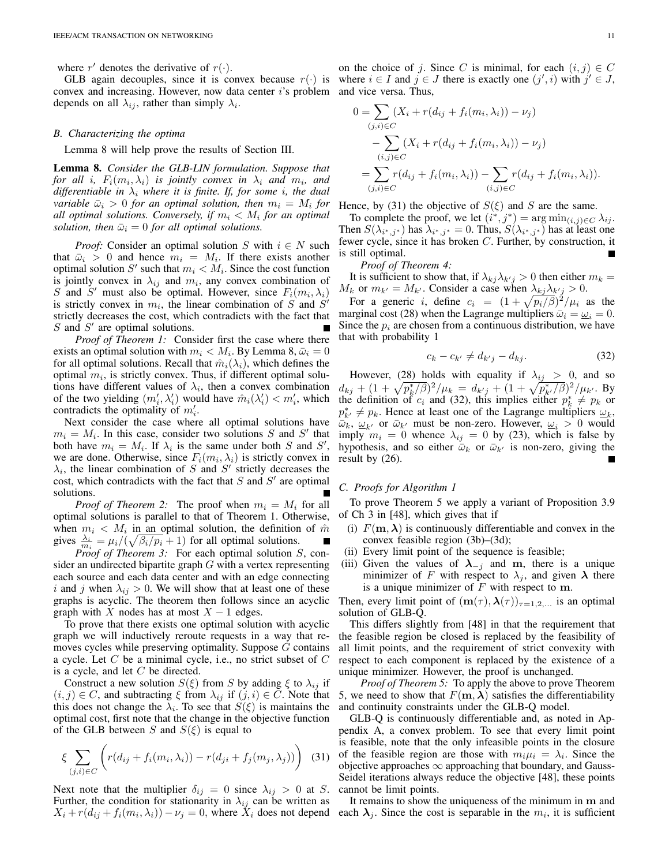where  $r'$  denotes the derivative of  $r(\cdot)$ .

convex and increasing. However, now data center i's problem and vice versa. Thus, depends on all  $\lambda_{ij}$ , rather than simply  $\lambda_i$ .

#### *B. Characterizing the optima*

Lemma 8 will help prove the results of Section III.

Lemma 8. *Consider the GLB-LIN formulation. Suppose that for all i,*  $F_i(m_i, \lambda_i)$  *is jointly convex in*  $\lambda_i$  *and*  $m_i$ *, and differentiable in*  $\lambda_i$  *where it is finite. If, for some i, the dual variable*  $\bar{\omega}_i > 0$  *for an optimal solution, then*  $m_i = M_i$  *for* all optimal solutions. Conversely, if  $m_i < M_i$  for an optimal *solution, then*  $\bar{\omega}_i = 0$  *for all optimal solutions.* 

*Proof:* Consider an optimal solution S with  $i \in N$  such that  $\bar{\omega}_i > 0$  and hence  $m_i = M_i$ . If there exists another optimal solution S' such that  $m_i < M_i$ . Since the cost function is jointly convex in  $\lambda_{ij}$  and  $m_i$ , any convex combination of S and S' must also be optimal. However, since  $F_i(m_i, \lambda_i)$ is strictly convex in  $m_i$ , the linear combination of S and S' strictly decreases the cost, which contradicts with the fact that  $S$  and  $S'$  are optimal solutions.

*Proof of Theorem 1:* Consider first the case where there exists an optimal solution with  $m_i < M_i$ . By Lemma 8,  $\bar{\omega}_i = 0$ for all optimal solutions. Recall that  $\hat{m}_i(\lambda_i)$ , which defines the optimal  $m_i$ , is strictly convex. Thus, if different optimal solutions have different values of  $\lambda_i$ , then a convex combination of the two yielding  $(m'_i, \lambda'_i)$  would have  $\hat{m}_i(\lambda'_i) < m'_i$ , which contradicts the optimality of  $m'_i$ .

Next consider the case where all optimal solutions have  $m_i = M_i$ . In this case, consider two solutions S and S' that both have  $m_i = M_i$ . If  $\lambda_i$  is the same under both S and S', we are done. Otherwise, since  $F_i(m_i, \lambda_i)$  is strictly convex in  $\lambda_i$ , the linear combination of S and S' strictly decreases the cost, which contradicts with the fact that  $S$  and  $S'$  are optimal solutions.

*Proof of Theorem 2:* The proof when  $m_i = M_i$  for all optimal solutions is parallel to that of Theorem 1. Otherwise, when  $m_i < M_i$  in an optimal solution, the definition of  $\hat{m}$ gives  $\frac{\lambda_i}{m_i} = \mu_i/(\sqrt{\beta_i/p_i} + 1)$  for all optimal solutions.

*Proof of Theorem 3:* For each optimal solution S, consider an undirected bipartite graph  $G$  with a vertex representing each source and each data center and with an edge connecting i and j when  $\lambda_{ij} > 0$ . We will show that at least one of these graphs is acyclic. The theorem then follows since an acyclic graph with  $X$  nodes has at most  $X - 1$  edges.

To prove that there exists one optimal solution with acyclic graph we will inductively reroute requests in a way that removes cycles while preserving optimality. Suppose  $G$  contains a cycle. Let  $C$  be a minimal cycle, i.e., no strict subset of  $C$ is a cycle, and let  $C$  be directed.

Construct a new solution  $S(\xi)$  from S by adding  $\xi$  to  $\lambda_{ij}$  if  $(i, j) \in C$ , and subtracting  $\xi$  from  $\lambda_{ij}$  if  $(j, i) \in C$ . Note that this does not change the  $\lambda_i$ . To see that  $S(\xi)$  is maintains the optimal cost, first note that the change in the objective function of the GLB between S and  $S(\xi)$  is equal to

$$
\xi \sum_{(j,i)\in C} \left( r(d_{ij} + f_i(m_i, \lambda_i)) - r(d_{ji} + f_j(m_j, \lambda_j)) \right) \tag{31}
$$

Next note that the multiplier  $\delta_{ij} = 0$  since  $\lambda_{ij} > 0$  at S. Further, the condition for stationarity in  $\lambda_{ij}$  can be written as

GLB again decouples, since it is convex because  $r(\cdot)$  is where  $i \in I$  and  $j \in J$  there is exactly one  $(j', i)$  with  $j' \in J$ , on the choice of j. Since C is minimal, for each  $(i, j) \in C$ 

$$
0 = \sum_{(j,i) \in C} (X_i + r(d_{ij} + f_i(m_i, \lambda_i)) - \nu_j)
$$
  
- 
$$
\sum_{(i,j) \in C} (X_i + r(d_{ij} + f_i(m_i, \lambda_i)) - \nu_j)
$$
  
= 
$$
\sum_{(j,i) \in C} r(d_{ij} + f_i(m_i, \lambda_i)) - \sum_{(i,j) \in C} r(d_{ij} + f_i(m_i, \lambda_i)).
$$

Hence, by (31) the objective of  $S(\xi)$  and S are the same.

To complete the proof, we let  $(i^*, j^*) = \arg \min_{(i,j) \in C} \lambda_{ij}$ . Then  $S(\lambda_{i^*,j^*})$  has  $\lambda_{i^*,j^*} = 0$ . Thus,  $S(\lambda_{i^*,j^*})$  has at least one fewer cycle, since it has broken C. Further, by construction, it is still optimal.

*Proof of Theorem 4:*

It is sufficient to show that, if  $\lambda_{kj} \lambda_{k'j} > 0$  then either  $m_k =$  $M_k$  or  $m_{k'} = M_{k'}$ . Consider a case when  $\lambda_{kj} \lambda_{k'j} > 0$ .

For a generic i, define  $c_i = (1 + \sqrt{p_i/\beta})^2/\mu_i$  as the marginal cost (28) when the Lagrange multipliers  $\bar{\omega}_i = \omega_i = 0$ . Since the  $p_i$  are chosen from a continuous distribution, we have that with probability 1

$$
c_k - c_{k'} \neq d_{k'j} - d_{kj}.\tag{32}
$$

However, (28) holds with equality if  $\lambda_{ij} > 0$ , and so  $d_{kj} + (1+\sqrt{p_k^*/\beta})^2/\mu_k = d_{k'j} + (1+\sqrt{p_{k'}^*/\beta})^2/\mu_{k'}.$  By the definition of  $c_i$  and (32), this implies either  $p_k^* \neq p_k$  or  $p_{k'}^* \neq p_k$ . Hence at least one of the Lagrange multipliers  $\underline{\omega}_k$ ,  $\bar{\omega}_k$ ,  $\underline{\omega}_{k'}$  or  $\bar{\omega}_{k'}$  must be non-zero. However,  $\underline{\omega}_i > 0$  would imply  $m_i = 0$  whence  $\lambda_{ij} = 0$  by (23), which is false by hypothesis, and so either  $\bar{\omega}_k$  or  $\bar{\omega}_{k'}$  is non-zero, giving the result by (26).

#### *C. Proofs for Algorithm 1*

To prove Theorem 5 we apply a variant of Proposition 3.9 of Ch 3 in [48], which gives that if

- (i)  $F(\mathbf{m}, \lambda)$  is continuously differentiable and convex in the convex feasible region (3b)–(3d);
- (ii) Every limit point of the sequence is feasible;
- (iii) Given the values of  $\lambda_{-j}$  and m, there is a unique minimizer of F with respect to  $\lambda_j$ , and given  $\lambda$  there is a unique minimizer of  $F$  with respect to m.

Then, every limit point of  $(m(\tau), \lambda(\tau))_{\tau=1,2,...}$  is an optimal solution of GLB-Q.

This differs slightly from [48] in that the requirement that the feasible region be closed is replaced by the feasibility of all limit points, and the requirement of strict convexity with respect to each component is replaced by the existence of a unique minimizer. However, the proof is unchanged.

*Proof of Theorem 5:* To apply the above to prove Theorem 5, we need to show that  $F(\mathbf{m},\boldsymbol{\lambda})$  satisfies the differentiability and continuity constraints under the GLB-Q model.

GLB-Q is continuously differentiable and, as noted in Appendix A, a convex problem. To see that every limit point is feasible, note that the only infeasible points in the closure of the feasible region are those with  $m_i \mu_i = \lambda_i$ . Since the objective approaches  $\infty$  approaching that boundary, and Gauss-Seidel iterations always reduce the objective [48], these points cannot be limit points.

 $X_i + r(d_{ij} + f_i(m_i, \lambda_i)) - \nu_j = 0$ , where  $X_i$  does not depend each  $\lambda_j$ . Since the cost is separable in the  $m_i$ , it is sufficient It remains to show the uniqueness of the minimum in m and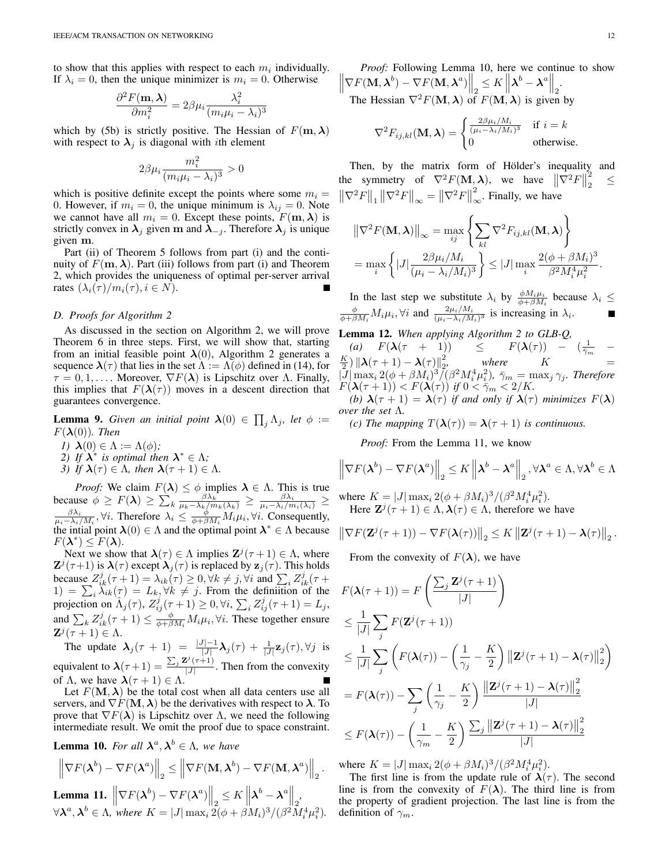to show that this applies with respect to each  $m_i$  individually. If  $\lambda_i = 0$ , then the unique minimizer is  $m_i = 0$ . Otherwise

$$
\frac{\partial^2 F(\mathbf{m}, \mathbf{\lambda})}{\partial m_i^2} = 2\beta \mu_i \frac{\lambda_i^2}{(m_i \mu_i - \lambda_i)^3}
$$

which by (5b) is strictly positive. The Hessian of  $F(\mathbf{m},\boldsymbol{\lambda})$ with respect to  $\lambda_j$  is diagonal with *i*th element

$$
2\beta\mu_i\frac{m_i^2}{(m_i\mu_i-\lambda_i)^3}>0
$$

which is positive definite except the points where some  $m_i =$ 0. However, if  $m_i = 0$ , the unique minimum is  $\lambda_{ij} = 0$ . Note we cannot have all  $m_i = 0$ . Except these points,  $F(\mathbf{m}, \lambda)$  is strictly convex in  $\lambda_i$  given m and  $\lambda_{-i}$ . Therefore  $\lambda_i$  is unique given m.

Part (ii) of Theorem 5 follows from part (i) and the continuity of  $F(\mathbf{m},\boldsymbol{\lambda})$ . Part (iii) follows from part (i) and Theorem 2, which provides the uniqueness of optimal per-server arrival rates  $(\lambda_i(\tau)/m_i(\tau), i \in N)$ .

# *D. Proofs for Algorithm 2*

As discussed in the section on Algorithm 2, we will prove Theorem 6 in three steps. First, we will show that, starting from an initial feasible point  $\lambda(0)$ , Algorithm 2 generates a sequence  $\lambda(\tau)$  that lies in the set  $\Lambda := \Lambda(\phi)$  defined in (14), for  $\tau = 0, 1, \ldots$ . Moreover,  $\nabla F(\lambda)$  is Lipschitz over Λ. Finally, this implies that  $F(\lambda(\tau))$  moves in a descent direction that guarantees convergence.

**Lemma 9.** *Given an initial point*  $\lambda(0) \in \prod_j \Lambda_j$ *, let*  $\phi :=$  $F(\lambda(0))$ *. Then* 

*1)*  $\lambda(0) \in \Lambda := \Lambda(\phi)$ ;

- 2) If  $\lambda^*$  is optimal then  $\lambda^* \in \Lambda$ ;
- *3) If*  $\lambda(\tau) \in \Lambda$ *, then*  $\lambda(\tau + 1) \in \Lambda$ *.*

*Proof:* We claim  $F(\lambda) \leq \phi$  implies  $\lambda \in \Lambda$ . This is true because  $\phi \ge F(\lambda) \ge \sum_{k}^{\infty} \frac{\beta \lambda_k}{\mu_k - \lambda_k / m_k(\lambda_k)} \ge \frac{\beta \lambda_i}{\mu_i - \lambda_i / m_i(\lambda_i)} \ge \frac{\beta \lambda_i}{\mu_i - \lambda_i / m_i}$ ,  $\forall i$ . Therefore  $\lambda_i \le \frac{\phi}{\phi + \beta M_i} M_i \mu_i$ ,  $\forall i$ . Consequently, the initial point  $\lambda(0) \in \Lambda$  and the optimal point  $\lambda^* \in \Lambda$  because  $F(\lambda^*) \leq F(\lambda).$ 

Next we show that  $\lambda(\tau) \in \Lambda$  implies  $\mathbf{Z}^{j}(\tau+1) \in \Lambda$ , where  $\mathbf{Z}^{j}(\tau+1)$  is  $\boldsymbol{\lambda}(\tau)$  except  $\boldsymbol{\lambda}_{j}(\tau)$  is replaced by  $\mathbf{z}_{j}(\tau)$ . This holds because  $Z_{ik}^j(\tau + 1) = \lambda_{ik}(\tau) \ge 0, \forall k \ne j, \forall i$  and  $\sum_i Z_{ik}^j(\tau +$  $(1) = \sum_i \lambda_{ik}(\tau) = L_k, \forall k \neq j.$  From the definition of the projection on  $\hat{\Lambda}_j(\tau)$ ,  $Z_{ij}^j(\tau+1) \geq 0$ ,  $\forall i$ ,  $\sum_i Z_{ij}^j(\tau+1) = L_j$ , and  $\sum_{k} Z_{ik}^{j}(\tau + 1) \le \frac{\phi}{\phi + \beta M_i} M_i \mu_i, \forall i$ . These together ensure  $\mathbf{Z}^j(\tau+1) \in \Lambda.$ 

The update  $\lambda_j(\tau+1) = \frac{|J|-1}{|J|}\lambda_j(\tau) + \frac{1}{|J|}\mathbf{z}_j(\tau), \forall j$  is equivalent to  $\lambda(\tau+1) = \frac{\sum_j \mathbf{Z}^j(\tau+1)}{|I|}$  $\frac{f(t+1)}{|J|}$ . Then from the convexity of  $\Lambda$ , we have  $\lambda(\tau + 1) \in \Lambda$ .

Let  $F(\mathbf{M}, \lambda)$  be the total cost when all data centers use all servers, and  $\nabla F(\mathbf{M}, \boldsymbol{\lambda})$  be the derivatives with respect to  $\boldsymbol{\lambda}$ . To prove that  $\nabla F(\lambda)$  is Lipschitz over  $\Lambda$ , we need the following intermediate result. We omit the proof due to space constraint.

**Lemma 10.** For all  $\lambda^a, \lambda^b \in \Lambda$ , we have

$$
\left\|\nabla F(\boldsymbol{\lambda}^b)-\nabla F(\boldsymbol{\lambda}^a)\right\|_2\leq \left\|\nabla F(\mathbf{M},\boldsymbol{\lambda}^b)-\nabla F(\mathbf{M},\boldsymbol{\lambda}^a)\right\|_2.
$$

Lemma 11.  $\left\|\nabla F(\lambda^b) - \nabla F(\lambda^a)\right\|_2 \leq K \left\|\lambda^b - \lambda^a\right\|_2$  $\forall \lambda^a, \lambda^b \in \Lambda$ , where  $K = |J| \max_i 2(\phi + \beta M_i)^3 / (\beta^2 M_i^4 \mu_i^2)$ . *Proof:* Following Lemma 10, here we continue to show  $\left\|\nabla F(\mathbf{M}, \boldsymbol{\lambda}^b) - \nabla F(\mathbf{M}, \boldsymbol{\lambda}^a)\right\|_2 \leq K \left\|\boldsymbol{\lambda}^b - \boldsymbol{\lambda}^a\right\|_2$ . The Hessian  $\nabla^2 F(M, \lambda)$  of  $F(M, \lambda)$  is given by

$$
\nabla^2 F_{ij,kl}(\mathbf{M}, \boldsymbol{\lambda}) = \begin{cases} \frac{2\beta\mu_i/M_i}{(\mu_i - \lambda_i/M_i)^3} & \text{if } i = k\\ 0 & \text{otherwise.} \end{cases}
$$

Then, by the matrix form of Hölder's inequality and the symmetry of  $\nabla^2 F(\mathbf{M}, \lambda)$ , we have  $\|\nabla^2 F\|$  $\overline{c}$  $\|\nabla^2 F\|_1 \|\nabla^2 F\|_{\infty} = \|\nabla^2 F\|_{\infty}^2$ . Finally, we have ≤ 2  $\sum_{\infty}^{\infty}$ . Finally, we have

$$
\|\nabla^2 F(\mathbf{M}, \boldsymbol{\lambda})\|_{\infty} = \max_{ij} \left\{ \sum_{kl} \nabla^2 F_{ij,kl}(\mathbf{M}, \boldsymbol{\lambda}) \right\}
$$
  
= 
$$
\max_{i} \left\{ |J| \frac{2\beta \mu_i / M_i}{(\mu_i - \lambda_i / M_i)^3} \right\} \le |J| \max_{i} \frac{2(\phi + \beta M_i)^3}{\beta^2 M_i^4 \mu_i^2}.
$$

In the last step we substitute  $\lambda_i$  by  $\frac{\phi M_i \mu_i}{\phi + \beta M_i}$  because  $\lambda_i \leq$  $\frac{\phi}{\phi + \beta M_i} M_i \mu_i, \forall i$  and  $\frac{2\mu_i/M_i}{(\mu_i - \lambda_i/M_i)^3}$  is increasing in  $\lambda_i$ .

Lemma 12. *When applying Algorithm 2 to GLB-Q,*

*(a)*  $F(\lambda(\tau + 1)) \leq F(\lambda(\tau)) - (\frac{1}{\bar{\gamma}_m} \frac{K}{2}$ )  $\|\lambda(\tau+1) - \lambda(\tau)\|_{2}^{2}$  where K  $\frac{K}{2}$  =  $|\tilde{J}|$   $\max_i 2(\phi + \beta M_i)^3 \tilde{}/(\beta^2 M_i^4 \mu_i^2), \ \bar{\gamma}_m = \max_j \gamma_j$ . Therefore  $F(\lambda(\tau+1)) < F(\lambda(\tau))$  *if*  $0 < \bar{\gamma}_m < 2/K$ .

*(b)*  $\lambda(\tau + 1) = \lambda(\tau)$  *if and only if*  $\lambda(\tau)$  *minimizes*  $F(\lambda)$ *over the set* Λ*.*

*(c)* The mapping  $T(\lambda(\tau)) = \lambda(\tau + 1)$  *is continuous.* 

*Proof:* From the Lemma 11, we know

$$
\left\|\nabla F(\boldsymbol{\lambda}^b)-\nabla F(\boldsymbol{\lambda}^a)\right\|_2 \leq K\left\|\boldsymbol{\lambda}^b-\boldsymbol{\lambda}^a\right\|_2, \forall \boldsymbol{\lambda}^a \in \Lambda, \forall \boldsymbol{\lambda}^b \in \Lambda
$$

where  $K = |J| \max_i 2(\phi + \beta M_i)^3 / (\beta^2 M_i^4 \mu_i^2)$ . Here  $\mathbf{Z}^{j}(\tau+1) \in \Lambda, \lambda(\tau) \in \Lambda$ , therefore we have

$$
\left\|\nabla F(\mathbf{Z}^{j}(\tau+1))-\nabla F(\boldsymbol{\lambda}(\tau))\right\|_{2}\leq K\left\|\mathbf{Z}^{j}(\tau+1)-\boldsymbol{\lambda}(\tau)\right\|_{2}.
$$

From the convexity of  $F(\lambda)$ , we have

$$
F(\lambda(\tau+1)) = F\left(\frac{\sum_{j} \mathbf{Z}^{j}(\tau+1)}{|J|}\right)
$$
  
\n
$$
\leq \frac{1}{|J|} \sum_{j} F(\mathbf{Z}^{j}(\tau+1))
$$
  
\n
$$
\leq \frac{1}{|J|} \sum_{j} \left(F(\lambda(\tau)) - \left(\frac{1}{\gamma_{j}} - \frac{K}{2}\right) ||\mathbf{Z}^{j}(\tau+1) - \lambda(\tau)||_{2}^{2}\right)
$$
  
\n
$$
= F(\lambda(\tau)) - \sum_{j} \left(\frac{1}{\gamma_{j}} - \frac{K}{2}\right) \frac{||\mathbf{Z}^{j}(\tau+1) - \lambda(\tau)||_{2}^{2}}{|J|}
$$
  
\n
$$
\leq F(\lambda(\tau)) - \left(\frac{1}{\gamma_{m}} - \frac{K}{2}\right) \frac{\sum_{j} ||\mathbf{Z}^{j}(\tau+1) - \lambda(\tau)||_{2}^{2}}{|J|}
$$

where  $K = |J| \max_i 2(\phi + \beta M_i)^3 / (\beta^2 M_i^4 \mu_i^2)$ .

The first line is from the update rule of  $\lambda(\tau)$ . The second line is from the convexity of  $F(\lambda)$ . The third line is from the property of gradient projection. The last line is from the definition of  $\gamma_m$ .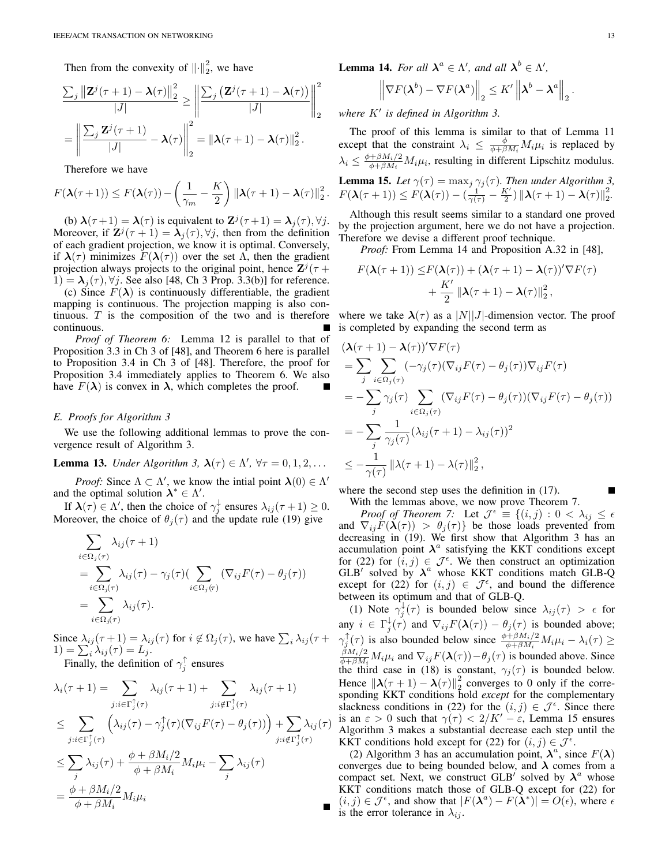Then from the convexity of  $\lVert \cdot \rVert_2^2$ , we have

$$
\frac{\sum_{j} \left\| \mathbf{Z}^{j}(\tau+1) - \mathbf{\lambda}(\tau) \right\|_{2}^{2}}{|J|} \geq \left\| \frac{\sum_{j} \left( \mathbf{Z}^{j}(\tau+1) - \mathbf{\lambda}(\tau) \right)}{|J|} \right\|_{2}^{2}
$$

$$
= \left\| \frac{\sum_{j} \mathbf{Z}^{j}(\tau+1)}{|J|} - \mathbf{\lambda}(\tau) \right\|_{2}^{2} = \left\| \mathbf{\lambda}(\tau+1) - \mathbf{\lambda}(\tau) \right\|_{2}^{2}.
$$

Therefore we have

$$
F(\boldsymbol{\lambda}(\tau+1)) \leq F(\boldsymbol{\lambda}(\tau)) - \left(\frac{1}{\gamma_m} - \frac{K}{2}\right) \left\|\boldsymbol{\lambda}(\tau+1) - \boldsymbol{\lambda}(\tau)\right\|_2^2.
$$

(b)  $\lambda(\tau+1) = \lambda(\tau)$  is equivalent to  $\mathbf{Z}^{j}(\tau+1) = \lambda_{j}(\tau), \forall j$ . Moreover, if  $\mathbf{Z}^{j}(\tau+1) = \mathbf{\lambda}_{j}(\tau), \forall j$ , then from the definition of each gradient projection, we know it is optimal. Conversely, if  $\lambda(\tau)$  minimizes  $F(\lambda(\tau))$  over the set  $\Lambda$ , then the gradient projection always projects to the original point, hence  $\mathbf{Z}^{j}(\tau +$  $1) = \lambda_j(\tau)$ ,  $\forall j$ . See also [48, Ch 3 Prop. 3.3(b)] for reference.

(c) Since  $F(\lambda)$  is continuously differentiable, the gradient mapping is continuous. The projection mapping is also continuous.  $T$  is the composition of the two and is therefore continuous.

*Proof of Theorem 6:* Lemma 12 is parallel to that of Proposition 3.3 in Ch 3 of [48], and Theorem 6 here is parallel to Proposition 3.4 in Ch 3 of [48]. Therefore, the proof for Proposition 3.4 immediately applies to Theorem 6. We also have  $F(\lambda)$  is convex in  $\lambda$ , which completes the proof.

#### *E. Proofs for Algorithm 3*

We use the following additional lemmas to prove the convergence result of Algorithm 3.

**Lemma 13.** *Under Algorithm 3,*  $\lambda(\tau) \in \Lambda'$ ,  $\forall \tau = 0, 1, 2, \ldots$ 

*Proof:* Since  $\Lambda \subset \Lambda'$ , we know the intial point  $\lambda(0) \in \Lambda'$ and the optimal solution  $\lambda^* \in \Lambda'$ .

If  $\lambda(\tau) \in \Lambda'$ , then the choice of  $\gamma_j^{\downarrow}$  ensures  $\lambda_{ij}(\tau + 1) \ge 0$ . Moreover, the choice of  $\theta_i(\tau)$  and the update rule (19) give

$$
\sum_{i \in \Omega_j(\tau)} \lambda_{ij}(\tau + 1)
$$
\n
$$
= \sum_{i \in \Omega_j(\tau)} \lambda_{ij}(\tau) - \gamma_j(\tau) \Big( \sum_{i \in \Omega_j(\tau)} (\nabla_{ij} F(\tau) - \theta_j(\tau))
$$
\n
$$
= \sum_{i \in \Omega_j(\tau)} \lambda_{ij}(\tau).
$$

Since  $\lambda_{ij}(\tau + 1) = \lambda_{ij}(\tau)$  for  $i \notin \Omega_j(\tau)$ , we have  $\sum_i \lambda_{ij}(\tau +$  $1) = \sum_i \lambda_{ij}(\tau) = L_j.$ Finally, the definition of  $\gamma_j^{\uparrow}$  ensures

$$
\lambda_i(\tau+1) = \sum_{j:i \in \Gamma_j^{\uparrow}(\tau)} \lambda_{ij}(\tau+1) + \sum_{j:i \notin \Gamma_j^{\uparrow}(\tau)} \lambda_{ij}(\tau+1)
$$
\n
$$
\leq \sum_{j:i \in \Gamma_j^{\uparrow}(\tau)} \left( \lambda_{ij}(\tau) - \gamma_j^{\uparrow}(\tau)(\nabla_{ij}F(\tau) - \theta_j(\tau)) \right) + \sum_{j:i \notin \Gamma_j^{\uparrow}(\tau)} \lambda_{ij}(\tau)
$$
\n
$$
\leq \sum_j \lambda_{ij}(\tau) + \frac{\phi + \beta M_i/2}{\phi + \beta M_i} M_i \mu_i - \sum_j \lambda_{ij}(\tau)
$$
\n
$$
= \frac{\phi + \beta M_i/2}{\phi + \beta M_i} M_i \mu_i
$$

**Lemma 14.** For all  $\lambda^a \in \Lambda'$ , and all  $\lambda^b \in \Lambda'$ ,

$$
\left\|\nabla F(\boldsymbol{\lambda}^b)-\nabla F(\boldsymbol{\lambda}^a)\right\|_2\leq K'\left\|\boldsymbol{\lambda}^b-\boldsymbol{\lambda}^a\right\|_2.
$$

where  $K'$  is defined in Algorithm 3.

The proof of this lemma is similar to that of Lemma 11 except that the constraint  $\lambda_i \leq \frac{\phi}{\phi + \beta M_i} M_i \mu_i$  is replaced by  $\lambda_i \leq \frac{\phi + \beta M_i/2}{\phi + \beta M_i} M_i \mu_i$ , resulting in different Lipschitz modulus.

**Lemma 15.** Let 
$$
\gamma(\tau) = \max_j \gamma_j(\tau)
$$
. Then under Algorithm 3,  
 $F(\lambda(\tau+1)) \leq F(\lambda(\tau)) - (\frac{1}{\gamma(\tau)} - \frac{K'}{2}) ||\lambda(\tau+1) - \lambda(\tau)||_2^2$ .

Although this result seems similar to a standard one proved by the projection argument, here we do not have a projection. Therefore we devise a different proof technique.

*Proof:* From Lemma 14 and Proposition A.32 in [48],

$$
F(\lambda(\tau+1)) \leq F(\lambda(\tau)) + (\lambda(\tau+1) - \lambda(\tau))'\nabla F(\tau) + \frac{K'}{2} ||\lambda(\tau+1) - \lambda(\tau)||_2^2,
$$

where we take  $\lambda(\tau)$  as a |N||J|-dimension vector. The proof is completed by expanding the second term as

$$
(\lambda(\tau+1) - \lambda(\tau))'\nabla F(\tau)
$$
  
= 
$$
\sum_{j} \sum_{i \in \Omega_j(\tau)} (-\gamma_j(\tau)(\nabla_{ij} F(\tau) - \theta_j(\tau))\nabla_{ij} F(\tau)
$$
  
= 
$$
-\sum_{j} \gamma_j(\tau) \sum_{i \in \Omega_j(\tau)} (\nabla_{ij} F(\tau) - \theta_j(\tau))(\nabla_{ij} F(\tau) - \theta_j(\tau))
$$
  
= 
$$
-\sum_{j} \frac{1}{\gamma_j(\tau)} (\lambda_{ij}(\tau+1) - \lambda_{ij}(\tau))^2
$$
  

$$
\leq -\frac{1}{\gamma(\tau)} ||\lambda(\tau+1) - \lambda(\tau)||_2^2,
$$

where the second step uses the definition in (17).

With the lemmas above, we now prove Theorem 7. *Proof of Theorem 7:* Let  $\mathcal{J}^{\epsilon} \equiv \{(i,j) : 0 < \lambda_{ij} \leq \epsilon\}$ and  $\nabla_{ij}F(\lambda(\tau)) > \theta_j(\tau)$  be those loads prevented from decreasing in (19). We first show that Algorithm 3 has an accumulation point  $\lambda^a$  satisfying the KKT conditions except for (22) for  $(i, j) \in \mathcal{J}^{\epsilon}$ . We then construct an optimization GLB' solved by  $\lambda^a$  whose KKT conditions match GLB-Q except for (22) for  $(i, j) \in \mathcal{J}^{\epsilon}$ , and bound the difference between its optimum and that of GLB-Q.

(1) Note  $\gamma_i^{\downarrow}(\tau)$  is bounded below since  $\lambda_{ij}(\tau) > \epsilon$  for j any  $i \in \Gamma_j^{\downarrow}(\tau)$  and  $\nabla_{ij} F(\lambda(\tau)) - \theta_j(\tau)$  is bounded above;  $\gamma_j^{\uparrow}(\tau)$  is also bounded below since  $\frac{\phi + \beta M_i/2}{\phi + \beta M_i} M_i \mu_i - \lambda_i(\tau) \ge \frac{\beta M_i/2}{\phi + \beta M_i} M_i \mu_i$  and  $\nabla_{ij} F(\lambda(\tau)) - \theta_j(\tau)$  is bounded above. Since the third case in (18) is constant,  $\gamma_j(\tau)$  is bounded below. Hence  $\|\lambda(\tau + 1) - \lambda(\tau)\|_2^2$  converges to 0 only if the corresponding KKT conditions hold *except* for the complementary slackness conditions in (22) for the  $(i, j) \in \mathcal{J}^{\epsilon}$ . Since there is an  $\varepsilon > 0$  such that  $\gamma(\tau) < 2/K' - \varepsilon$ , Lemma 15 ensures Algorithm 3 makes a substantial decrease each step until the KKT conditions hold except for (22) for  $(i, j) \in \tilde{\mathcal{J}}^{\epsilon}$ .

(2) Algorithm 3 has an accumulation point,  $\lambda^a$ , since  $F(\lambda)$ converges due to being bounded below, and  $\lambda$  comes from a compact set. Next, we construct GLB<sup>'</sup> solved by  $\lambda^a$  whose KKT conditions match those of GLB-Q except for (22) for  $(i, j) \in \mathcal{J}^{\epsilon}$ , and show that  $|F(\lambda^{a}) - F(\lambda^{*})| = O(\epsilon)$ , where  $\epsilon$ is the error tolerance in  $\lambda_{ii}$ .